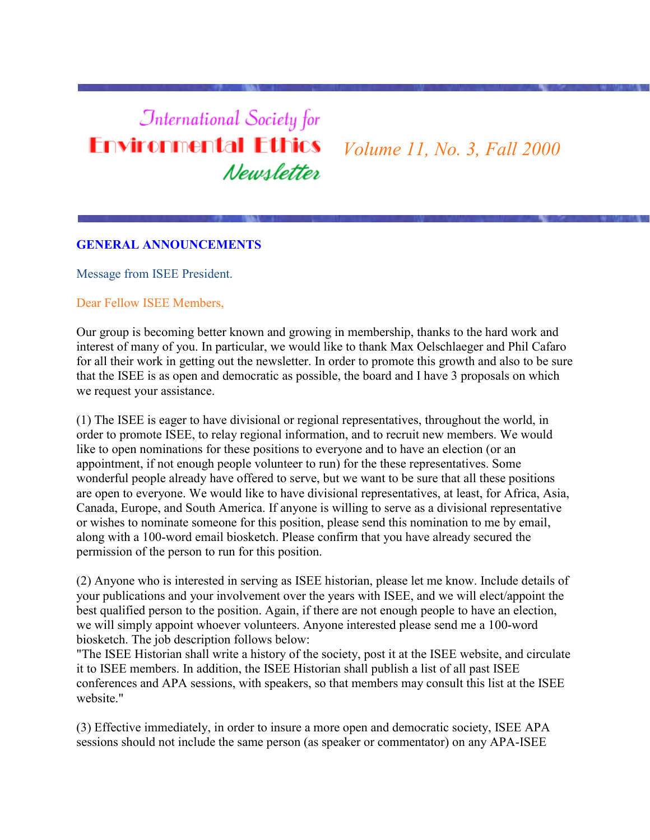# **International Society for Environmental Ethics** Newsletter

*Volume 11, No. 3, Fall 2000*

# **GENERAL ANNOUNCEMENTS**

Message from ISEE President.

## Dear Fellow ISEE Members,

Our group is becoming better known and growing in membership, thanks to the hard work and interest of many of you. In particular, we would like to thank Max Oelschlaeger and Phil Cafaro for all their work in getting out the newsletter. In order to promote this growth and also to be sure that the ISEE is as open and democratic as possible, the board and I have 3 proposals on which we request your assistance.

(1) The ISEE is eager to have divisional or regional representatives, throughout the world, in order to promote ISEE, to relay regional information, and to recruit new members. We would like to open nominations for these positions to everyone and to have an election (or an appointment, if not enough people volunteer to run) for the these representatives. Some wonderful people already have offered to serve, but we want to be sure that all these positions are open to everyone. We would like to have divisional representatives, at least, for Africa, Asia, Canada, Europe, and South America. If anyone is willing to serve as a divisional representative or wishes to nominate someone for this position, please send this nomination to me by email, along with a 100-word email biosketch. Please confirm that you have already secured the permission of the person to run for this position.

(2) Anyone who is interested in serving as ISEE historian, please let me know. Include details of your publications and your involvement over the years with ISEE, and we will elect/appoint the best qualified person to the position. Again, if there are not enough people to have an election, we will simply appoint whoever volunteers. Anyone interested please send me a 100-word biosketch. The job description follows below:

"The ISEE Historian shall write a history of the society, post it at the ISEE website, and circulate it to ISEE members. In addition, the ISEE Historian shall publish a list of all past ISEE conferences and APA sessions, with speakers, so that members may consult this list at the ISEE website."

(3) Effective immediately, in order to insure a more open and democratic society, ISEE APA sessions should not include the same person (as speaker or commentator) on any APA-ISEE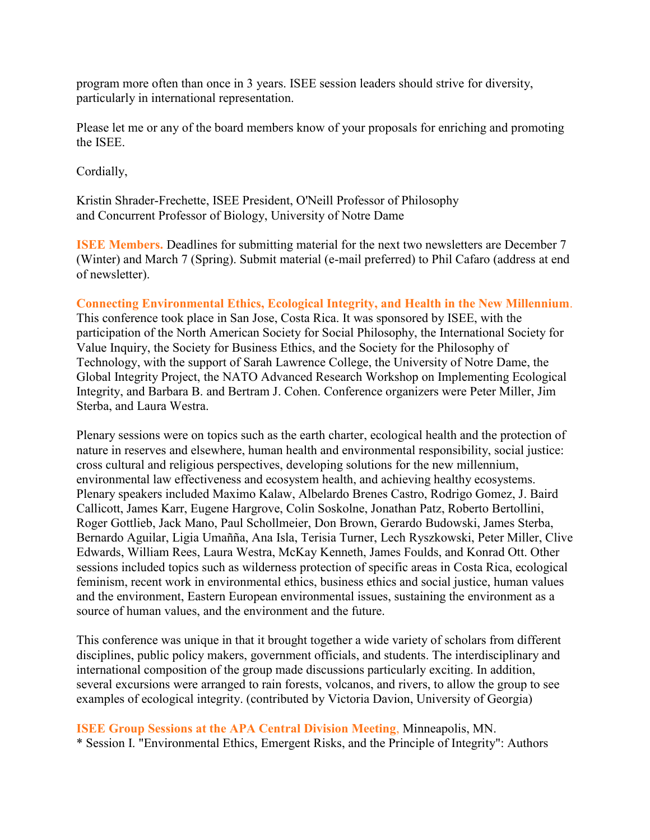program more often than once in 3 years. ISEE session leaders should strive for diversity, particularly in international representation.

Please let me or any of the board members know of your proposals for enriching and promoting the ISEE.

Cordially,

Kristin Shrader-Frechette, ISEE President, O'Neill Professor of Philosophy and Concurrent Professor of Biology, University of Notre Dame

**ISEE Members.** Deadlines for submitting material for the next two newsletters are December 7 (Winter) and March 7 (Spring). Submit material (e-mail preferred) to Phil Cafaro (address at end of newsletter).

**Connecting Environmental Ethics, Ecological Integrity, and Health in the New Millennium**. This conference took place in San Jose, Costa Rica. It was sponsored by ISEE, with the participation of the North American Society for Social Philosophy, the International Society for Value Inquiry, the Society for Business Ethics, and the Society for the Philosophy of Technology, with the support of Sarah Lawrence College, the University of Notre Dame, the Global Integrity Project, the NATO Advanced Research Workshop on Implementing Ecological Integrity, and Barbara B. and Bertram J. Cohen. Conference organizers were Peter Miller, Jim Sterba, and Laura Westra.

Plenary sessions were on topics such as the earth charter, ecological health and the protection of nature in reserves and elsewhere, human health and environmental responsibility, social justice: cross cultural and religious perspectives, developing solutions for the new millennium, environmental law effectiveness and ecosystem health, and achieving healthy ecosystems. Plenary speakers included Maximo Kalaw, Albelardo Brenes Castro, Rodrigo Gomez, J. Baird Callicott, James Karr, Eugene Hargrove, Colin Soskolne, Jonathan Patz, Roberto Bertollini, Roger Gottlieb, Jack Mano, Paul Schollmeier, Don Brown, Gerardo Budowski, James Sterba, Bernardo Aguilar, Ligia Umañña, Ana Isla, Terisia Turner, Lech Ryszkowski, Peter Miller, Clive Edwards, William Rees, Laura Westra, McKay Kenneth, James Foulds, and Konrad Ott. Other sessions included topics such as wilderness protection of specific areas in Costa Rica, ecological feminism, recent work in environmental ethics, business ethics and social justice, human values and the environment, Eastern European environmental issues, sustaining the environment as a source of human values, and the environment and the future.

This conference was unique in that it brought together a wide variety of scholars from different disciplines, public policy makers, government officials, and students. The interdisciplinary and international composition of the group made discussions particularly exciting. In addition, several excursions were arranged to rain forests, volcanos, and rivers, to allow the group to see examples of ecological integrity. (contributed by Victoria Davion, University of Georgia)

**ISEE Group Sessions at the APA Central Division Meeting**, Minneapolis, MN. \* Session I. "Environmental Ethics, Emergent Risks, and the Principle of Integrity": Authors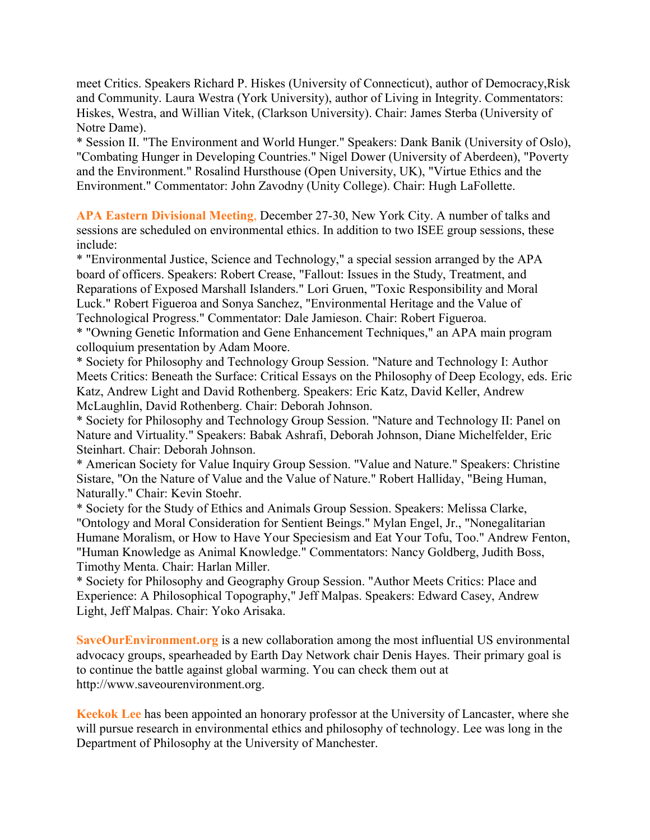meet Critics. Speakers Richard P. Hiskes (University of Connecticut), author of Democracy,Risk and Community. Laura Westra (York University), author of Living in Integrity. Commentators: Hiskes, Westra, and Willian Vitek, (Clarkson University). Chair: James Sterba (University of Notre Dame).

\* Session II. "The Environment and World Hunger." Speakers: Dank Banik (University of Oslo), "Combating Hunger in Developing Countries." Nigel Dower (University of Aberdeen), "Poverty and the Environment." Rosalind Hursthouse (Open University, UK), "Virtue Ethics and the Environment." Commentator: John Zavodny (Unity College). Chair: Hugh LaFollette.

**APA Eastern Divisional Meeting**, December 27-30, New York City. A number of talks and sessions are scheduled on environmental ethics. In addition to two ISEE group sessions, these include:

\* "Environmental Justice, Science and Technology," a special session arranged by the APA board of officers. Speakers: Robert Crease, "Fallout: Issues in the Study, Treatment, and Reparations of Exposed Marshall Islanders." Lori Gruen, "Toxic Responsibility and Moral Luck." Robert Figueroa and Sonya Sanchez, "Environmental Heritage and the Value of Technological Progress." Commentator: Dale Jamieson. Chair: Robert Figueroa.

\* "Owning Genetic Information and Gene Enhancement Techniques," an APA main program colloquium presentation by Adam Moore.

\* Society for Philosophy and Technology Group Session. "Nature and Technology I: Author Meets Critics: Beneath the Surface: Critical Essays on the Philosophy of Deep Ecology, eds. Eric Katz, Andrew Light and David Rothenberg. Speakers: Eric Katz, David Keller, Andrew McLaughlin, David Rothenberg. Chair: Deborah Johnson.

\* Society for Philosophy and Technology Group Session. "Nature and Technology II: Panel on Nature and Virtuality." Speakers: Babak Ashrafi, Deborah Johnson, Diane Michelfelder, Eric Steinhart. Chair: Deborah Johnson.

\* American Society for Value Inquiry Group Session. "Value and Nature." Speakers: Christine Sistare, "On the Nature of Value and the Value of Nature." Robert Halliday, "Being Human, Naturally." Chair: Kevin Stoehr.

\* Society for the Study of Ethics and Animals Group Session. Speakers: Melissa Clarke, "Ontology and Moral Consideration for Sentient Beings." Mylan Engel, Jr., "Nonegalitarian Humane Moralism, or How to Have Your Speciesism and Eat Your Tofu, Too." Andrew Fenton, "Human Knowledge as Animal Knowledge." Commentators: Nancy Goldberg, Judith Boss, Timothy Menta. Chair: Harlan Miller.

\* Society for Philosophy and Geography Group Session. "Author Meets Critics: Place and Experience: A Philosophical Topography," Jeff Malpas. Speakers: Edward Casey, Andrew Light, Jeff Malpas. Chair: Yoko Arisaka.

**SaveOurEnvironment.org** is a new collaboration among the most influential US environmental advocacy groups, spearheaded by Earth Day Network chair Denis Hayes. Their primary goal is to continue the battle against global warming. You can check them out at http://www.saveourenvironment.org.

**Keekok Lee** has been appointed an honorary professor at the University of Lancaster, where she will pursue research in environmental ethics and philosophy of technology. Lee was long in the Department of Philosophy at the University of Manchester.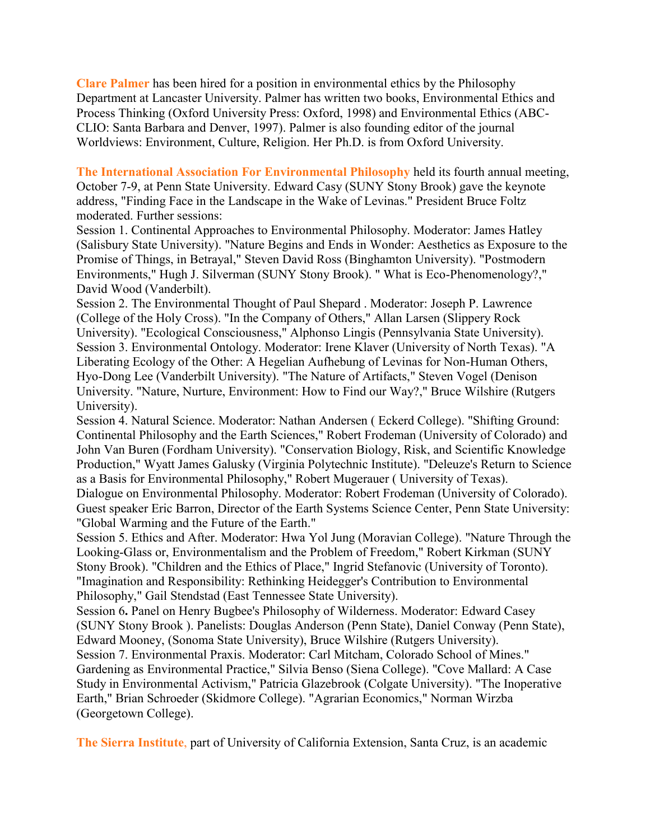**Clare Palmer** has been hired for a position in environmental ethics by the Philosophy Department at Lancaster University. Palmer has written two books, Environmental Ethics and Process Thinking (Oxford University Press: Oxford, 1998) and Environmental Ethics (ABC-CLIO: Santa Barbara and Denver, 1997). Palmer is also founding editor of the journal Worldviews: Environment, Culture, Religion. Her Ph.D. is from Oxford University.

**The International Association For Environmental Philosophy** held its fourth annual meeting, October 7-9, at Penn State University. Edward Casy (SUNY Stony Brook) gave the keynote address, "Finding Face in the Landscape in the Wake of Levinas." President Bruce Foltz moderated. Further sessions:

Session 1. Continental Approaches to Environmental Philosophy. Moderator: James Hatley (Salisbury State University). "Nature Begins and Ends in Wonder: Aesthetics as Exposure to the Promise of Things, in Betrayal," Steven David Ross (Binghamton University). "Postmodern Environments," Hugh J. Silverman (SUNY Stony Brook). " What is Eco-Phenomenology?," David Wood (Vanderbilt).

Session 2. The Environmental Thought of Paul Shepard . Moderator: Joseph P. Lawrence (College of the Holy Cross). "In the Company of Others," Allan Larsen (Slippery Rock University). "Ecological Consciousness," Alphonso Lingis (Pennsylvania State University). Session 3. Environmental Ontology. Moderator: Irene Klaver (University of North Texas). "A Liberating Ecology of the Other: A Hegelian Aufhebung of Levinas for Non-Human Others, Hyo-Dong Lee (Vanderbilt University). "The Nature of Artifacts," Steven Vogel (Denison University. "Nature, Nurture, Environment: How to Find our Way?," Bruce Wilshire (Rutgers University).

Session 4. Natural Science. Moderator: Nathan Andersen ( Eckerd College). "Shifting Ground: Continental Philosophy and the Earth Sciences," Robert Frodeman (University of Colorado) and John Van Buren (Fordham University). "Conservation Biology, Risk, and Scientific Knowledge Production," Wyatt James Galusky (Virginia Polytechnic Institute). "Deleuze's Return to Science as a Basis for Environmental Philosophy," Robert Mugerauer ( University of Texas).

Dialogue on Environmental Philosophy. Moderator: Robert Frodeman (University of Colorado). Guest speaker Eric Barron, Director of the Earth Systems Science Center, Penn State University: "Global Warming and the Future of the Earth."

Session 5. Ethics and After. Moderator: Hwa Yol Jung (Moravian College). "Nature Through the Looking-Glass or, Environmentalism and the Problem of Freedom," Robert Kirkman (SUNY Stony Brook). "Children and the Ethics of Place," Ingrid Stefanovic (University of Toronto). "Imagination and Responsibility: Rethinking Heidegger's Contribution to Environmental Philosophy," Gail Stendstad (East Tennessee State University).

Session 6**.** Panel on Henry Bugbee's Philosophy of Wilderness. Moderator: Edward Casey (SUNY Stony Brook ). Panelists: Douglas Anderson (Penn State), Daniel Conway (Penn State), Edward Mooney, (Sonoma State University), Bruce Wilshire (Rutgers University).

Session 7. Environmental Praxis. Moderator: Carl Mitcham, Colorado School of Mines." Gardening as Environmental Practice," Silvia Benso (Siena College). "Cove Mallard: A Case Study in Environmental Activism," Patricia Glazebrook (Colgate University). "The Inoperative Earth," Brian Schroeder (Skidmore College). "Agrarian Economics," Norman Wirzba (Georgetown College).

**The Sierra Institute**, part of University of California Extension, Santa Cruz, is an academic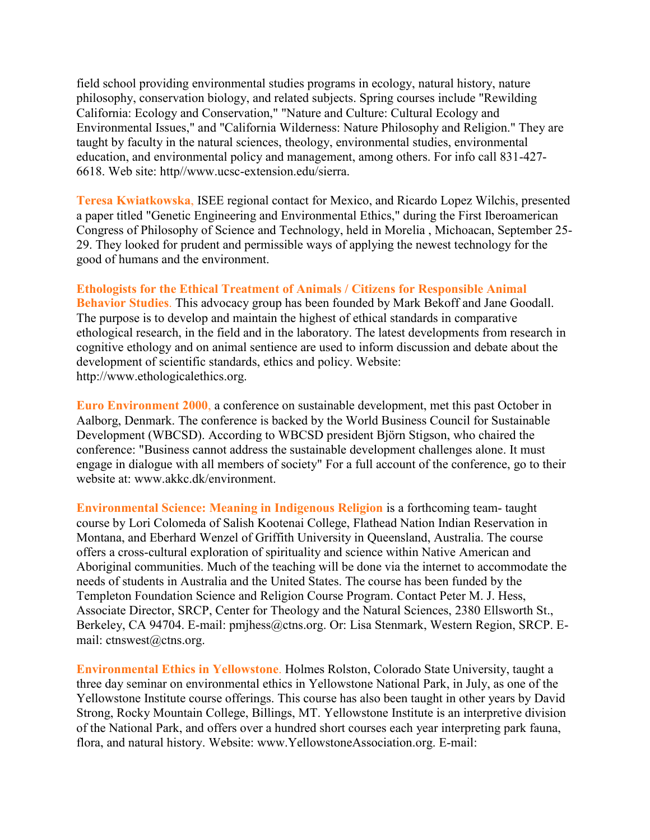field school providing environmental studies programs in ecology, natural history, nature philosophy, conservation biology, and related subjects. Spring courses include "Rewilding California: Ecology and Conservation," "Nature and Culture: Cultural Ecology and Environmental Issues," and "California Wilderness: Nature Philosophy and Religion." They are taught by faculty in the natural sciences, theology, environmental studies, environmental education, and environmental policy and management, among others. For info call 831-427- 6618. Web site: http//www.ucsc-extension.edu/sierra.

**Teresa Kwiatkowska**, ISEE regional contact for Mexico, and Ricardo Lopez Wilchis, presented a paper titled "Genetic Engineering and Environmental Ethics," during the First Iberoamerican Congress of Philosophy of Science and Technology, held in Morelia , Michoacan, September 25- 29. They looked for prudent and permissible ways of applying the newest technology for the good of humans and the environment.

## **Ethologists for the Ethical Treatment of Animals / Citizens for Responsible Animal**

**Behavior Studies**. This advocacy group has been founded by Mark Bekoff and Jane Goodall. The purpose is to develop and maintain the highest of ethical standards in comparative ethological research, in the field and in the laboratory. The latest developments from research in cognitive ethology and on animal sentience are used to inform discussion and debate about the development of scientific standards, ethics and policy. Website: http://www.ethologicalethics.org.

**Euro Environment 2000**, a conference on sustainable development, met this past October in Aalborg, Denmark. The conference is backed by the World Business Council for Sustainable Development (WBCSD). According to WBCSD president Björn Stigson, who chaired the conference: "Business cannot address the sustainable development challenges alone. It must engage in dialogue with all members of society" For a full account of the conference, go to their website at: www.akkc.dk/environment.

**Environmental Science: Meaning in Indigenous Religion** is a forthcoming team- taught course by Lori Colomeda of Salish Kootenai College, Flathead Nation Indian Reservation in Montana, and Eberhard Wenzel of Griffith University in Queensland, Australia. The course offers a cross-cultural exploration of spirituality and science within Native American and Aboriginal communities. Much of the teaching will be done via the internet to accommodate the needs of students in Australia and the United States. The course has been funded by the Templeton Foundation Science and Religion Course Program. Contact Peter M. J. Hess, Associate Director, SRCP, Center for Theology and the Natural Sciences, 2380 Ellsworth St., Berkeley, CA 94704. E-mail: pmjhess@ctns.org. Or: Lisa Stenmark, Western Region, SRCP. Email: ctnswest@ctns.org.

**Environmental Ethics in Yellowstone**. Holmes Rolston, Colorado State University, taught a three day seminar on environmental ethics in Yellowstone National Park, in July, as one of the Yellowstone Institute course offerings. This course has also been taught in other years by David Strong, Rocky Mountain College, Billings, MT. Yellowstone Institute is an interpretive division of the National Park, and offers over a hundred short courses each year interpreting park fauna, flora, and natural history. Website: www.YellowstoneAssociation.org. E-mail: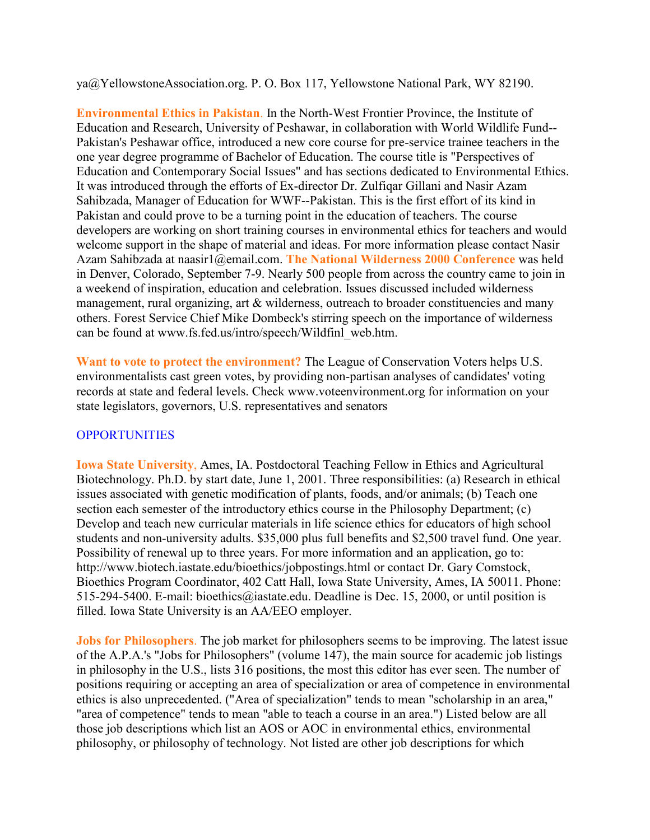ya@YellowstoneAssociation.org. P. O. Box 117, Yellowstone National Park, WY 82190.

**Environmental Ethics in Pakistan**. In the North-West Frontier Province, the Institute of Education and Research, University of Peshawar, in collaboration with World Wildlife Fund-- Pakistan's Peshawar office, introduced a new core course for pre-service trainee teachers in the one year degree programme of Bachelor of Education. The course title is "Perspectives of Education and Contemporary Social Issues" and has sections dedicated to Environmental Ethics. It was introduced through the efforts of Ex-director Dr. Zulfiqar Gillani and Nasir Azam Sahibzada, Manager of Education for WWF--Pakistan. This is the first effort of its kind in Pakistan and could prove to be a turning point in the education of teachers. The course developers are working on short training courses in environmental ethics for teachers and would welcome support in the shape of material and ideas. For more information please contact Nasir Azam Sahibzada at naasir1@email.com. **The National Wilderness 2000 Conference** was held in Denver, Colorado, September 7-9. Nearly 500 people from across the country came to join in a weekend of inspiration, education and celebration. Issues discussed included wilderness management, rural organizing, art & wilderness, outreach to broader constituencies and many others. Forest Service Chief Mike Dombeck's stirring speech on the importance of wilderness can be found at www.fs.fed.us/intro/speech/Wildfinl\_web.htm.

**Want to vote to protect the environment?** The League of Conservation Voters helps U.S. environmentalists cast green votes, by providing non-partisan analyses of candidates' voting records at state and federal levels. Check www.voteenvironment.org for information on your state legislators, governors, U.S. representatives and senators

#### **OPPORTUNITIES**

**Iowa State University**, Ames, IA. Postdoctoral Teaching Fellow in Ethics and Agricultural Biotechnology. Ph.D. by start date, June 1, 2001. Three responsibilities: (a) Research in ethical issues associated with genetic modification of plants, foods, and/or animals; (b) Teach one section each semester of the introductory ethics course in the Philosophy Department; (c) Develop and teach new curricular materials in life science ethics for educators of high school students and non-university adults. \$35,000 plus full benefits and \$2,500 travel fund. One year. Possibility of renewal up to three years. For more information and an application, go to: http://www.biotech.iastate.edu/bioethics/jobpostings.html or contact Dr. Gary Comstock, Bioethics Program Coordinator, 402 Catt Hall, Iowa State University, Ames, IA 50011. Phone: 515-294-5400. E-mail: bioethics@iastate.edu. Deadline is Dec. 15, 2000, or until position is filled. Iowa State University is an AA/EEO employer.

**Jobs for Philosophers**. The job market for philosophers seems to be improving. The latest issue of the A.P.A.'s "Jobs for Philosophers" (volume 147), the main source for academic job listings in philosophy in the U.S., lists 316 positions, the most this editor has ever seen. The number of positions requiring or accepting an area of specialization or area of competence in environmental ethics is also unprecedented. ("Area of specialization" tends to mean "scholarship in an area," "area of competence" tends to mean "able to teach a course in an area.") Listed below are all those job descriptions which list an AOS or AOC in environmental ethics, environmental philosophy, or philosophy of technology. Not listed are other job descriptions for which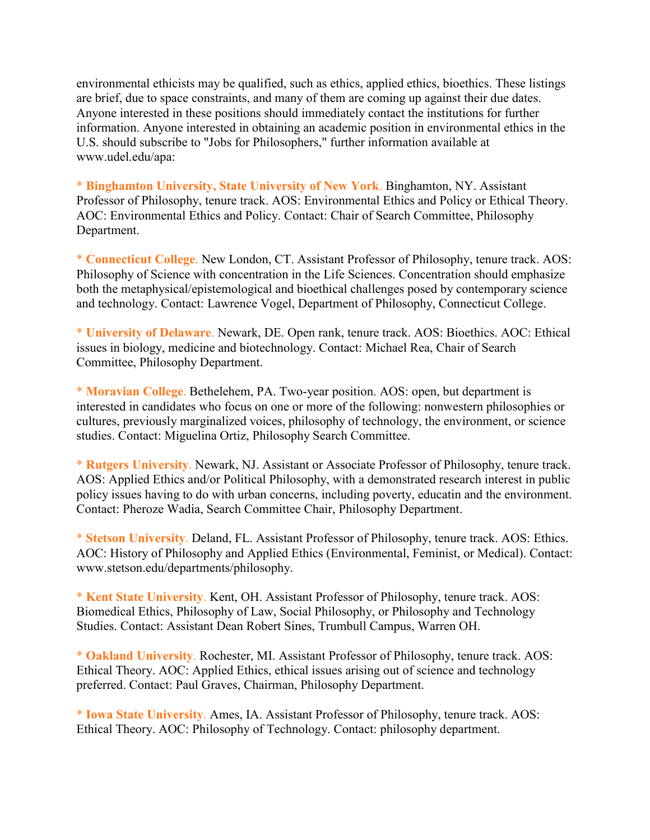environmental ethicists may be qualified, such as ethics, applied ethics, bioethics. These listings are brief, due to space constraints, and many of them are coming up against their due dates. Anyone interested in these positions should immediately contact the institutions for further information. Anyone interested in obtaining an academic position in environmental ethics in the U.S. should subscribe to "Jobs for Philosophers," further information available at www.udel.edu/apa:

\* **Binghamton University, State University of New York**. Binghamton, NY. Assistant Professor of Philosophy, tenure track. AOS: Environmental Ethics and Policy or Ethical Theory. AOC: Environmental Ethics and Policy. Contact: Chair of Search Committee, Philosophy Department.

\* **Connecticut College**. New London, CT. Assistant Professor of Philosophy, tenure track. AOS: Philosophy of Science with concentration in the Life Sciences. Concentration should emphasize both the metaphysical/epistemological and bioethical challenges posed by contemporary science and technology. Contact: Lawrence Vogel, Department of Philosophy, Connecticut College.

\* **University of Delaware**. Newark, DE. Open rank, tenure track. AOS: Bioethics. AOC: Ethical issues in biology, medicine and biotechnology. Contact: Michael Rea, Chair of Search Committee, Philosophy Department.

\* **Moravian College**. Bethelehem, PA. Two-year position. AOS: open, but department is interested in candidates who focus on one or more of the following: nonwestern philosophies or cultures, previously marginalized voices, philosophy of technology, the environment, or science studies. Contact: Miguelina Ortiz, Philosophy Search Committee.

\* **Rutgers University**. Newark, NJ. Assistant or Associate Professor of Philosophy, tenure track. AOS: Applied Ethics and/or Political Philosophy, with a demonstrated research interest in public policy issues having to do with urban concerns, including poverty, educatin and the environment. Contact: Pheroze Wadia, Search Committee Chair, Philosophy Department.

\* **Stetson University**. Deland, FL. Assistant Professor of Philosophy, tenure track. AOS: Ethics. AOC: History of Philosophy and Applied Ethics (Environmental, Feminist, or Medical). Contact: www.stetson.edu/departments/philosophy.

\* **Kent State University**. Kent, OH. Assistant Professor of Philosophy, tenure track. AOS: Biomedical Ethics, Philosophy of Law, Social Philosophy, or Philosophy and Technology Studies. Contact: Assistant Dean Robert Sines, Trumbull Campus, Warren OH.

\* **Oakland University**. Rochester, MI. Assistant Professor of Philosophy, tenure track. AOS: Ethical Theory. AOC: Applied Ethics, ethical issues arising out of science and technology preferred. Contact: Paul Graves, Chairman, Philosophy Department.

\* **Iowa State University**. Ames, IA. Assistant Professor of Philosophy, tenure track. AOS: Ethical Theory. AOC: Philosophy of Technology. Contact: philosophy department.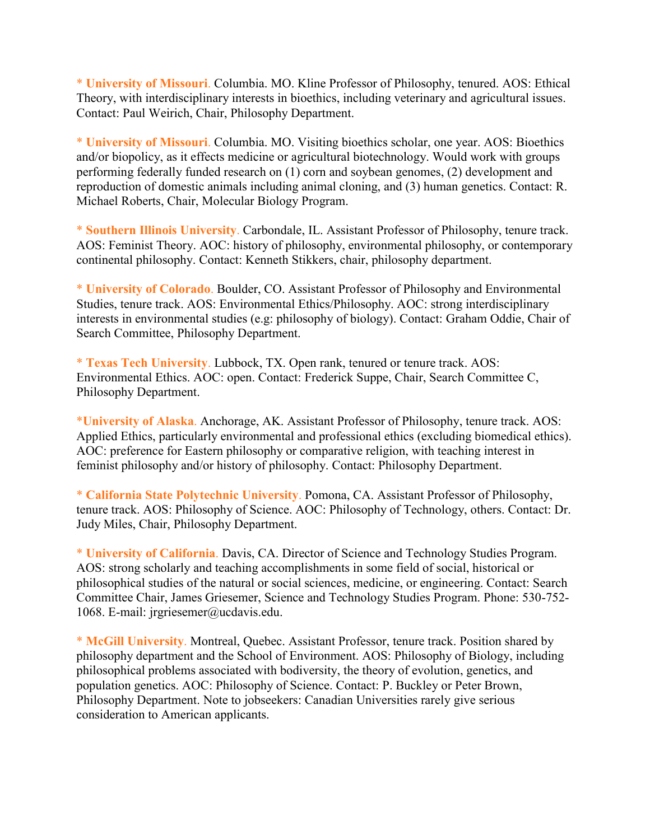\* **University of Missouri**. Columbia. MO. Kline Professor of Philosophy, tenured. AOS: Ethical Theory, with interdisciplinary interests in bioethics, including veterinary and agricultural issues. Contact: Paul Weirich, Chair, Philosophy Department.

\* **University of Missouri**. Columbia. MO. Visiting bioethics scholar, one year. AOS: Bioethics and/or biopolicy, as it effects medicine or agricultural biotechnology. Would work with groups performing federally funded research on (1) corn and soybean genomes, (2) development and reproduction of domestic animals including animal cloning, and (3) human genetics. Contact: R. Michael Roberts, Chair, Molecular Biology Program.

\* **Southern Illinois University**. Carbondale, IL. Assistant Professor of Philosophy, tenure track. AOS: Feminist Theory. AOC: history of philosophy, environmental philosophy, or contemporary continental philosophy. Contact: Kenneth Stikkers, chair, philosophy department.

\* **University of Colorado**. Boulder, CO. Assistant Professor of Philosophy and Environmental Studies, tenure track. AOS: Environmental Ethics/Philosophy. AOC: strong interdisciplinary interests in environmental studies (e.g: philosophy of biology). Contact: Graham Oddie, Chair of Search Committee, Philosophy Department.

\* **Texas Tech University**. Lubbock, TX. Open rank, tenured or tenure track. AOS: Environmental Ethics. AOC: open. Contact: Frederick Suppe, Chair, Search Committee C, Philosophy Department.

\***University of Alaska**. Anchorage, AK. Assistant Professor of Philosophy, tenure track. AOS: Applied Ethics, particularly environmental and professional ethics (excluding biomedical ethics). AOC: preference for Eastern philosophy or comparative religion, with teaching interest in feminist philosophy and/or history of philosophy. Contact: Philosophy Department.

\* **California State Polytechnic University**. Pomona, CA. Assistant Professor of Philosophy, tenure track. AOS: Philosophy of Science. AOC: Philosophy of Technology, others. Contact: Dr. Judy Miles, Chair, Philosophy Department.

\* **University of California**. Davis, CA. Director of Science and Technology Studies Program. AOS: strong scholarly and teaching accomplishments in some field of social, historical or philosophical studies of the natural or social sciences, medicine, or engineering. Contact: Search Committee Chair, James Griesemer, Science and Technology Studies Program. Phone: 530-752- 1068. E-mail: jrgriesemer@ucdavis.edu.

\* **McGill University**. Montreal, Quebec. Assistant Professor, tenure track. Position shared by philosophy department and the School of Environment. AOS: Philosophy of Biology, including philosophical problems associated with bodiversity, the theory of evolution, genetics, and population genetics. AOC: Philosophy of Science. Contact: P. Buckley or Peter Brown, Philosophy Department. Note to jobseekers: Canadian Universities rarely give serious consideration to American applicants.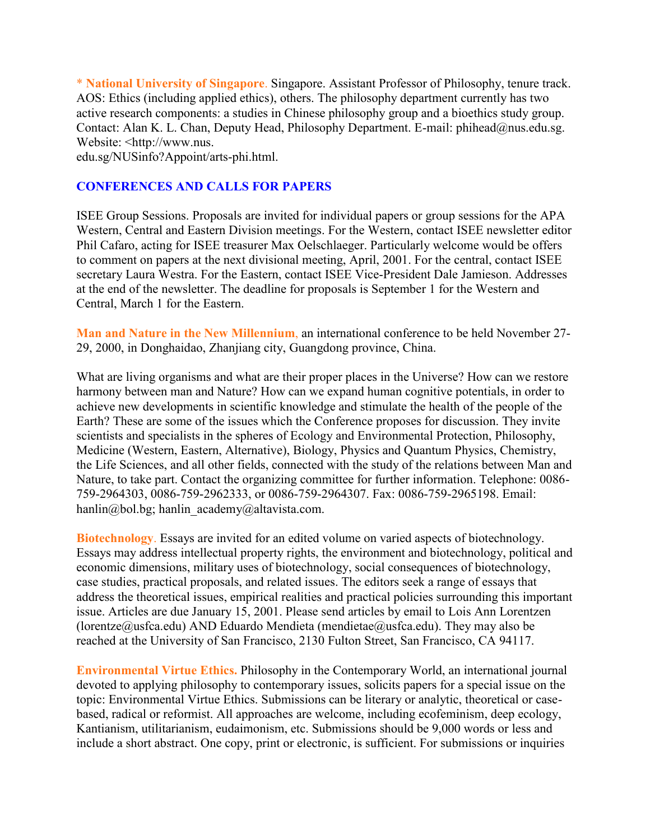\* **National University of Singapore**. Singapore. Assistant Professor of Philosophy, tenure track. AOS: Ethics (including applied ethics), others. The philosophy department currently has two active research components: a studies in Chinese philosophy group and a bioethics study group. Contact: Alan K. L. Chan, Deputy Head, Philosophy Department. E-mail: phihead@nus.edu.sg. Website: <http://www.nus.

edu.sg/NUSinfo?Appoint/arts-phi.html.

# **CONFERENCES AND CALLS FOR PAPERS**

ISEE Group Sessions. Proposals are invited for individual papers or group sessions for the APA Western, Central and Eastern Division meetings. For the Western, contact ISEE newsletter editor Phil Cafaro, acting for ISEE treasurer Max Oelschlaeger. Particularly welcome would be offers to comment on papers at the next divisional meeting, April, 2001. For the central, contact ISEE secretary Laura Westra. For the Eastern, contact ISEE Vice-President Dale Jamieson. Addresses at the end of the newsletter. The deadline for proposals is September 1 for the Western and Central, March 1 for the Eastern.

**Man and Nature in the New Millennium**, an international conference to be held November 27- 29, 2000, in Donghaidao, Zhanjiang city, Guangdong province, China.

What are living organisms and what are their proper places in the Universe? How can we restore harmony between man and Nature? How can we expand human cognitive potentials, in order to achieve new developments in scientific knowledge and stimulate the health of the people of the Earth? These are some of the issues which the Conference proposes for discussion. They invite scientists and specialists in the spheres of Ecology and Environmental Protection, Philosophy, Medicine (Western, Eastern, Alternative), Biology, Physics and Quantum Physics, Chemistry, the Life Sciences, and all other fields, connected with the study of the relations between Man and Nature, to take part. Contact the organizing committee for further information. Telephone: 0086- 759-2964303, 0086-759-2962333, or 0086-759-2964307. Fax: 0086-759-2965198. Email: hanlin@bol.bg; hanlin\_academy@altavista.com.

**Biotechnology**. Essays are invited for an edited volume on varied aspects of biotechnology. Essays may address intellectual property rights, the environment and biotechnology, political and economic dimensions, military uses of biotechnology, social consequences of biotechnology, case studies, practical proposals, and related issues. The editors seek a range of essays that address the theoretical issues, empirical realities and practical policies surrounding this important issue. Articles are due January 15, 2001. Please send articles by email to Lois Ann Lorentzen (lorentze@usfca.edu) AND Eduardo Mendieta (mendietae@usfca.edu). They may also be reached at the University of San Francisco, 2130 Fulton Street, San Francisco, CA 94117.

**Environmental Virtue Ethics.** Philosophy in the Contemporary World, an international journal devoted to applying philosophy to contemporary issues, solicits papers for a special issue on the topic: Environmental Virtue Ethics. Submissions can be literary or analytic, theoretical or casebased, radical or reformist. All approaches are welcome, including ecofeminism, deep ecology, Kantianism, utilitarianism, eudaimonism, etc. Submissions should be 9,000 words or less and include a short abstract. One copy, print or electronic, is sufficient. For submissions or inquiries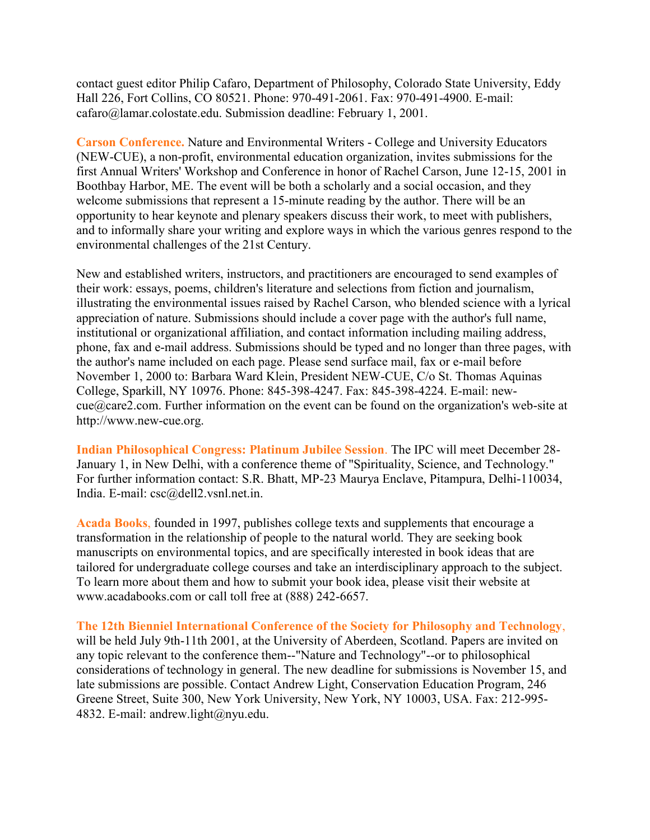contact guest editor Philip Cafaro, Department of Philosophy, Colorado State University, Eddy Hall 226, Fort Collins, CO 80521. Phone: 970-491-2061. Fax: 970-491-4900. E-mail: cafaro@lamar.colostate.edu. Submission deadline: February 1, 2001.

**Carson Conference.** Nature and Environmental Writers - College and University Educators (NEW-CUE), a non-profit, environmental education organization, invites submissions for the first Annual Writers' Workshop and Conference in honor of Rachel Carson, June 12-15, 2001 in Boothbay Harbor, ME. The event will be both a scholarly and a social occasion, and they welcome submissions that represent a 15-minute reading by the author. There will be an opportunity to hear keynote and plenary speakers discuss their work, to meet with publishers, and to informally share your writing and explore ways in which the various genres respond to the environmental challenges of the 21st Century.

New and established writers, instructors, and practitioners are encouraged to send examples of their work: essays, poems, children's literature and selections from fiction and journalism, illustrating the environmental issues raised by Rachel Carson, who blended science with a lyrical appreciation of nature. Submissions should include a cover page with the author's full name, institutional or organizational affiliation, and contact information including mailing address, phone, fax and e-mail address. Submissions should be typed and no longer than three pages, with the author's name included on each page. Please send surface mail, fax or e-mail before November 1, 2000 to: Barbara Ward Klein, President NEW-CUE, C/o St. Thomas Aquinas College, Sparkill, NY 10976. Phone: 845-398-4247. Fax: 845-398-4224. E-mail: newcue@care2.com. Further information on the event can be found on the organization's web-site at http://www.new-cue.org.

**Indian Philosophical Congress: Platinum Jubilee Session**. The IPC will meet December 28- January 1, in New Delhi, with a conference theme of "Spirituality, Science, and Technology." For further information contact: S.R. Bhatt, MP-23 Maurya Enclave, Pitampura, Delhi-110034, India. E-mail: csc@dell2.vsnl.net.in.

**Acada Books**, founded in 1997, publishes college texts and supplements that encourage a transformation in the relationship of people to the natural world. They are seeking book manuscripts on environmental topics, and are specifically interested in book ideas that are tailored for undergraduate college courses and take an interdisciplinary approach to the subject. To learn more about them and how to submit your book idea, please visit their website at www.acadabooks.com or call toll free at (888) 242-6657.

**The 12th Bienniel International Conference of the Society for Philosophy and Technology**, will be held July 9th-11th 2001, at the University of Aberdeen, Scotland. Papers are invited on any topic relevant to the conference them--"Nature and Technology"--or to philosophical considerations of technology in general. The new deadline for submissions is November 15, and late submissions are possible. Contact Andrew Light, Conservation Education Program, 246 Greene Street, Suite 300, New York University, New York, NY 10003, USA. Fax: 212-995- 4832. E-mail: andrew.light@nyu.edu.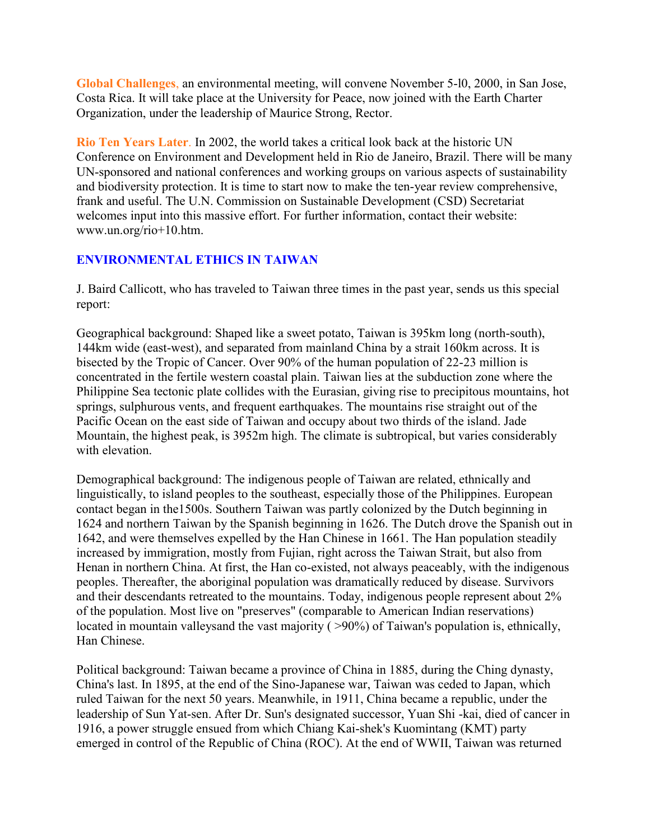**Global Challenges**, an environmental meeting, will convene November 5-l0, 2000, in San Jose, Costa Rica. It will take place at the University for Peace, now joined with the Earth Charter Organization, under the leadership of Maurice Strong, Rector.

**Rio Ten Years Later**. In 2002, the world takes a critical look back at the historic UN Conference on Environment and Development held in Rio de Janeiro, Brazil. There will be many UN-sponsored and national conferences and working groups on various aspects of sustainability and biodiversity protection. It is time to start now to make the ten-year review comprehensive, frank and useful. The U.N. Commission on Sustainable Development (CSD) Secretariat welcomes input into this massive effort. For further information, contact their website: www.un.org/rio+10.htm.

# **ENVIRONMENTAL ETHICS IN TAIWAN**

J. Baird Callicott, who has traveled to Taiwan three times in the past year, sends us this special report:

Geographical background: Shaped like a sweet potato, Taiwan is 395km long (north-south), 144km wide (east-west), and separated from mainland China by a strait 160km across. It is bisected by the Tropic of Cancer. Over 90% of the human population of 22-23 million is concentrated in the fertile western coastal plain. Taiwan lies at the subduction zone where the Philippine Sea tectonic plate collides with the Eurasian, giving rise to precipitous mountains, hot springs, sulphurous vents, and frequent earthquakes. The mountains rise straight out of the Pacific Ocean on the east side of Taiwan and occupy about two thirds of the island. Jade Mountain, the highest peak, is 3952m high. The climate is subtropical, but varies considerably with elevation.

Demographical background: The indigenous people of Taiwan are related, ethnically and linguistically, to island peoples to the southeast, especially those of the Philippines. European contact began in the1500s. Southern Taiwan was partly colonized by the Dutch beginning in 1624 and northern Taiwan by the Spanish beginning in 1626. The Dutch drove the Spanish out in 1642, and were themselves expelled by the Han Chinese in 1661. The Han population steadily increased by immigration, mostly from Fujian, right across the Taiwan Strait, but also from Henan in northern China. At first, the Han co-existed, not always peaceably, with the indigenous peoples. Thereafter, the aboriginal population was dramatically reduced by disease. Survivors and their descendants retreated to the mountains. Today, indigenous people represent about 2% of the population. Most live on "preserves" (comparable to American Indian reservations) located in mountain valleysand the vast majority ( $>90\%$ ) of Taiwan's population is, ethnically, Han Chinese.

Political background: Taiwan became a province of China in 1885, during the Ching dynasty, China's last. In 1895, at the end of the Sino-Japanese war, Taiwan was ceded to Japan, which ruled Taiwan for the next 50 years. Meanwhile, in 1911, China became a republic, under the leadership of Sun Yat-sen. After Dr. Sun's designated successor, Yuan Shi -kai, died of cancer in 1916, a power struggle ensued from which Chiang Kai-shek's Kuomintang (KMT) party emerged in control of the Republic of China (ROC). At the end of WWII, Taiwan was returned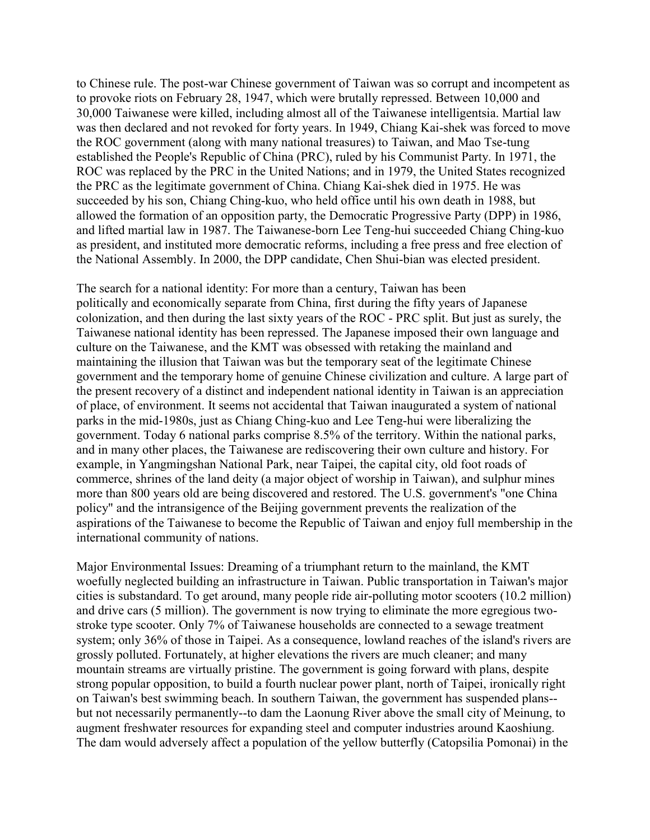to Chinese rule. The post-war Chinese government of Taiwan was so corrupt and incompetent as to provoke riots on February 28, 1947, which were brutally repressed. Between 10,000 and 30,000 Taiwanese were killed, including almost all of the Taiwanese intelligentsia. Martial law was then declared and not revoked for forty years. In 1949, Chiang Kai-shek was forced to move the ROC government (along with many national treasures) to Taiwan, and Mao Tse-tung established the People's Republic of China (PRC), ruled by his Communist Party. In 1971, the ROC was replaced by the PRC in the United Nations; and in 1979, the United States recognized the PRC as the legitimate government of China. Chiang Kai-shek died in 1975. He was succeeded by his son, Chiang Ching-kuo, who held office until his own death in 1988, but allowed the formation of an opposition party, the Democratic Progressive Party (DPP) in 1986, and lifted martial law in 1987. The Taiwanese-born Lee Teng-hui succeeded Chiang Ching-kuo as president, and instituted more democratic reforms, including a free press and free election of the National Assembly. In 2000, the DPP candidate, Chen Shui-bian was elected president.

The search for a national identity: For more than a century, Taiwan has been politically and economically separate from China, first during the fifty years of Japanese colonization, and then during the last sixty years of the ROC - PRC split. But just as surely, the Taiwanese national identity has been repressed. The Japanese imposed their own language and culture on the Taiwanese, and the KMT was obsessed with retaking the mainland and maintaining the illusion that Taiwan was but the temporary seat of the legitimate Chinese government and the temporary home of genuine Chinese civilization and culture. A large part of the present recovery of a distinct and independent national identity in Taiwan is an appreciation of place, of environment. It seems not accidental that Taiwan inaugurated a system of national parks in the mid-1980s, just as Chiang Ching-kuo and Lee Teng-hui were liberalizing the government. Today 6 national parks comprise 8.5% of the territory. Within the national parks, and in many other places, the Taiwanese are rediscovering their own culture and history. For example, in Yangmingshan National Park, near Taipei, the capital city, old foot roads of commerce, shrines of the land deity (a major object of worship in Taiwan), and sulphur mines more than 800 years old are being discovered and restored. The U.S. government's "one China policy" and the intransigence of the Beijing government prevents the realization of the aspirations of the Taiwanese to become the Republic of Taiwan and enjoy full membership in the international community of nations.

Major Environmental Issues: Dreaming of a triumphant return to the mainland, the KMT woefully neglected building an infrastructure in Taiwan. Public transportation in Taiwan's major cities is substandard. To get around, many people ride air-polluting motor scooters (10.2 million) and drive cars (5 million). The government is now trying to eliminate the more egregious twostroke type scooter. Only 7% of Taiwanese households are connected to a sewage treatment system; only 36% of those in Taipei. As a consequence, lowland reaches of the island's rivers are grossly polluted. Fortunately, at higher elevations the rivers are much cleaner; and many mountain streams are virtually pristine. The government is going forward with plans, despite strong popular opposition, to build a fourth nuclear power plant, north of Taipei, ironically right on Taiwan's best swimming beach. In southern Taiwan, the government has suspended plans- but not necessarily permanently--to dam the Laonung River above the small city of Meinung, to augment freshwater resources for expanding steel and computer industries around Kaoshiung. The dam would adversely affect a population of the yellow butterfly (Catopsilia Pomonai) in the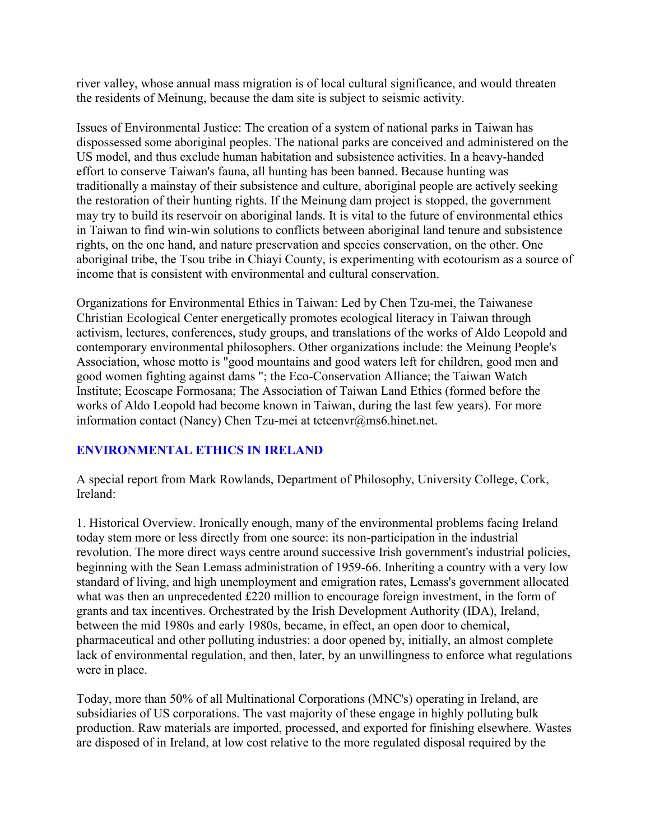river valley, whose annual mass migration is of local cultural significance, and would threaten the residents of Meinung, because the dam site is subject to seismic activity.

Issues of Environmental Justice: The creation of a system of national parks in Taiwan has dispossessed some aboriginal peoples. The national parks are conceived and administered on the US model, and thus exclude human habitation and subsistence activities. In a heavy-handed effort to conserve Taiwan's fauna, all hunting has been banned. Because hunting was traditionally a mainstay of their subsistence and culture, aboriginal people are actively seeking the restoration of their hunting rights. If the Meinung dam project is stopped, the government may try to build its reservoir on aboriginal lands. It is vital to the future of environmental ethics in Taiwan to find win-win solutions to conflicts between aboriginal land tenure and subsistence rights, on the one hand, and nature preservation and species conservation, on the other. One aboriginal tribe, the Tsou tribe in Chiayi County, is experimenting with ecotourism as a source of income that is consistent with environmental and cultural conservation.

Organizations for Environmental Ethics in Taiwan: Led by Chen Tzu-mei, the Taiwanese Christian Ecological Center energetically promotes ecological literacy in Taiwan through activism, lectures, conferences, study groups, and translations of the works of Aldo Leopold and contemporary environmental philosophers. Other organizations include: the Meinung People's Association, whose motto is "good mountains and good waters left for children, good men and good women fighting against dams "; the Eco-Conservation Alliance; the Taiwan Watch Institute; Ecoscape Formosana; The Association of Taiwan Land Ethics (formed before the works of Aldo Leopold had become known in Taiwan, during the last few years). For more information contact (Nancy) Chen Tzu-mei at tctcenvr@ms6.hinet.net.

# **ENVIRONMENTAL ETHICS IN IRELAND**

A special report from Mark Rowlands, Department of Philosophy, University College, Cork, Ireland:

1. Historical Overview. Ironically enough, many of the environmental problems facing Ireland today stem more or less directly from one source: its non-participation in the industrial revolution. The more direct ways centre around successive Irish government's industrial policies, beginning with the Sean Lemass administration of 1959-66. Inheriting a country with a very low standard of living, and high unemployment and emigration rates, Lemass's government allocated what was then an unprecedented £220 million to encourage foreign investment, in the form of grants and tax incentives. Orchestrated by the Irish Development Authority (IDA), Ireland, between the mid 1980s and early 1980s, became, in effect, an open door to chemical, pharmaceutical and other polluting industries: a door opened by, initially, an almost complete lack of environmental regulation, and then, later, by an unwillingness to enforce what regulations were in place.

Today, more than 50% of all Multinational Corporations (MNC's) operating in Ireland, are subsidiaries of US corporations. The vast majority of these engage in highly polluting bulk production. Raw materials are imported, processed, and exported for finishing elsewhere. Wastes are disposed of in Ireland, at low cost relative to the more regulated disposal required by the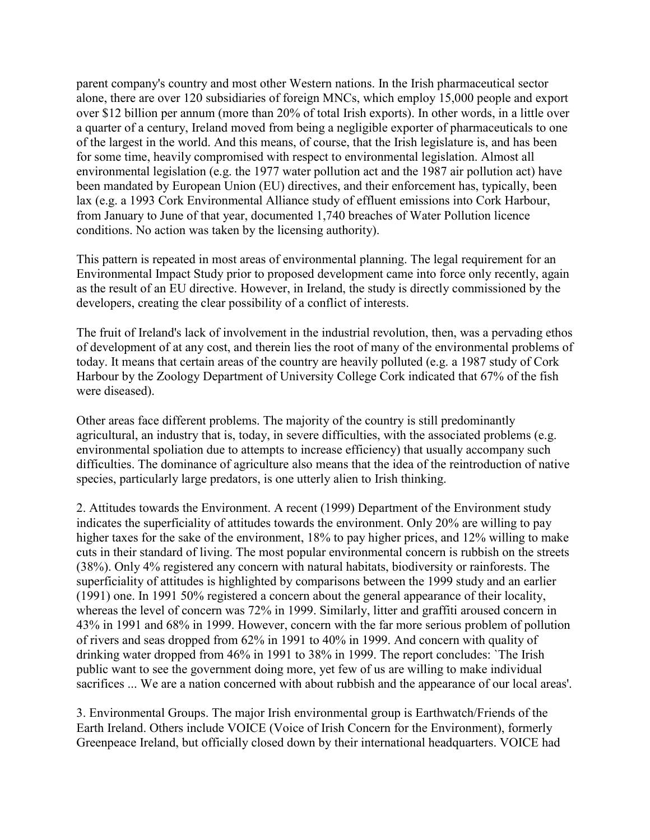parent company's country and most other Western nations. In the Irish pharmaceutical sector alone, there are over 120 subsidiaries of foreign MNCs, which employ 15,000 people and export over \$12 billion per annum (more than 20% of total Irish exports). In other words, in a little over a quarter of a century, Ireland moved from being a negligible exporter of pharmaceuticals to one of the largest in the world. And this means, of course, that the Irish legislature is, and has been for some time, heavily compromised with respect to environmental legislation. Almost all environmental legislation (e.g. the 1977 water pollution act and the 1987 air pollution act) have been mandated by European Union (EU) directives, and their enforcement has, typically, been lax (e.g. a 1993 Cork Environmental Alliance study of effluent emissions into Cork Harbour, from January to June of that year, documented 1,740 breaches of Water Pollution licence conditions. No action was taken by the licensing authority).

This pattern is repeated in most areas of environmental planning. The legal requirement for an Environmental Impact Study prior to proposed development came into force only recently, again as the result of an EU directive. However, in Ireland, the study is directly commissioned by the developers, creating the clear possibility of a conflict of interests.

The fruit of Ireland's lack of involvement in the industrial revolution, then, was a pervading ethos of development of at any cost, and therein lies the root of many of the environmental problems of today. It means that certain areas of the country are heavily polluted (e.g. a 1987 study of Cork Harbour by the Zoology Department of University College Cork indicated that 67% of the fish were diseased).

Other areas face different problems. The majority of the country is still predominantly agricultural, an industry that is, today, in severe difficulties, with the associated problems (e.g. environmental spoliation due to attempts to increase efficiency) that usually accompany such difficulties. The dominance of agriculture also means that the idea of the reintroduction of native species, particularly large predators, is one utterly alien to Irish thinking.

2. Attitudes towards the Environment. A recent (1999) Department of the Environment study indicates the superficiality of attitudes towards the environment. Only 20% are willing to pay higher taxes for the sake of the environment, 18% to pay higher prices, and 12% willing to make cuts in their standard of living. The most popular environmental concern is rubbish on the streets (38%). Only 4% registered any concern with natural habitats, biodiversity or rainforests. The superficiality of attitudes is highlighted by comparisons between the 1999 study and an earlier (1991) one. In 1991 50% registered a concern about the general appearance of their locality, whereas the level of concern was 72% in 1999. Similarly, litter and graffiti aroused concern in 43% in 1991 and 68% in 1999. However, concern with the far more serious problem of pollution of rivers and seas dropped from 62% in 1991 to 40% in 1999. And concern with quality of drinking water dropped from 46% in 1991 to 38% in 1999. The report concludes: `The Irish public want to see the government doing more, yet few of us are willing to make individual sacrifices ... We are a nation concerned with about rubbish and the appearance of our local areas'.

3. Environmental Groups. The major Irish environmental group is Earthwatch/Friends of the Earth Ireland. Others include VOICE (Voice of Irish Concern for the Environment), formerly Greenpeace Ireland, but officially closed down by their international headquarters. VOICE had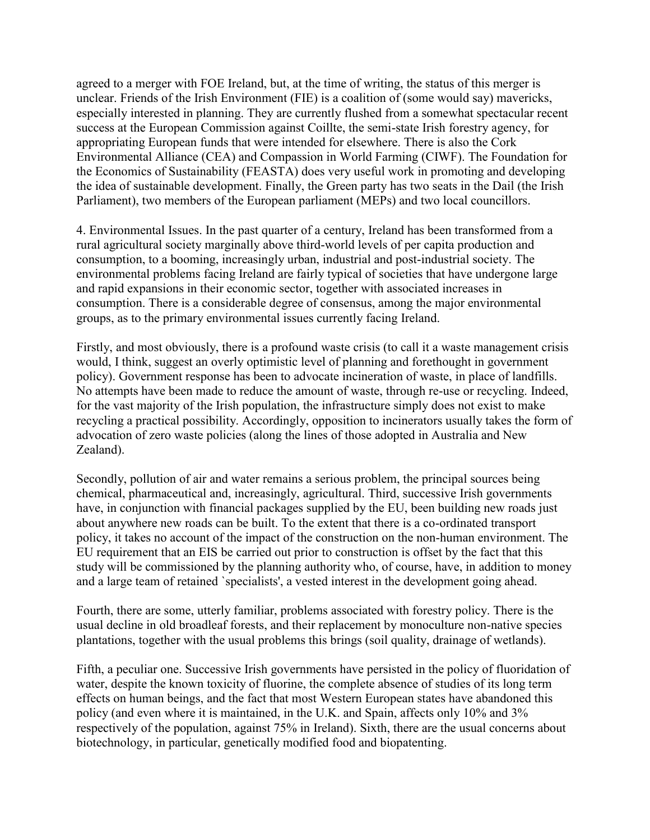agreed to a merger with FOE Ireland, but, at the time of writing, the status of this merger is unclear. Friends of the Irish Environment (FIE) is a coalition of (some would say) mavericks, especially interested in planning. They are currently flushed from a somewhat spectacular recent success at the European Commission against Coillte, the semi-state Irish forestry agency, for appropriating European funds that were intended for elsewhere. There is also the Cork Environmental Alliance (CEA) and Compassion in World Farming (CIWF). The Foundation for the Economics of Sustainability (FEASTA) does very useful work in promoting and developing the idea of sustainable development. Finally, the Green party has two seats in the Dail (the Irish Parliament), two members of the European parliament (MEPs) and two local councillors.

4. Environmental Issues. In the past quarter of a century, Ireland has been transformed from a rural agricultural society marginally above third-world levels of per capita production and consumption, to a booming, increasingly urban, industrial and post-industrial society. The environmental problems facing Ireland are fairly typical of societies that have undergone large and rapid expansions in their economic sector, together with associated increases in consumption. There is a considerable degree of consensus, among the major environmental groups, as to the primary environmental issues currently facing Ireland.

Firstly, and most obviously, there is a profound waste crisis (to call it a waste management crisis would, I think, suggest an overly optimistic level of planning and forethought in government policy). Government response has been to advocate incineration of waste, in place of landfills. No attempts have been made to reduce the amount of waste, through re-use or recycling. Indeed, for the vast majority of the Irish population, the infrastructure simply does not exist to make recycling a practical possibility. Accordingly, opposition to incinerators usually takes the form of advocation of zero waste policies (along the lines of those adopted in Australia and New Zealand).

Secondly, pollution of air and water remains a serious problem, the principal sources being chemical, pharmaceutical and, increasingly, agricultural. Third, successive Irish governments have, in conjunction with financial packages supplied by the EU, been building new roads just about anywhere new roads can be built. To the extent that there is a co-ordinated transport policy, it takes no account of the impact of the construction on the non-human environment. The EU requirement that an EIS be carried out prior to construction is offset by the fact that this study will be commissioned by the planning authority who, of course, have, in addition to money and a large team of retained `specialists', a vested interest in the development going ahead.

Fourth, there are some, utterly familiar, problems associated with forestry policy. There is the usual decline in old broadleaf forests, and their replacement by monoculture non-native species plantations, together with the usual problems this brings (soil quality, drainage of wetlands).

Fifth, a peculiar one. Successive Irish governments have persisted in the policy of fluoridation of water, despite the known toxicity of fluorine, the complete absence of studies of its long term effects on human beings, and the fact that most Western European states have abandoned this policy (and even where it is maintained, in the U.K. and Spain, affects only 10% and 3% respectively of the population, against 75% in Ireland). Sixth, there are the usual concerns about biotechnology, in particular, genetically modified food and biopatenting.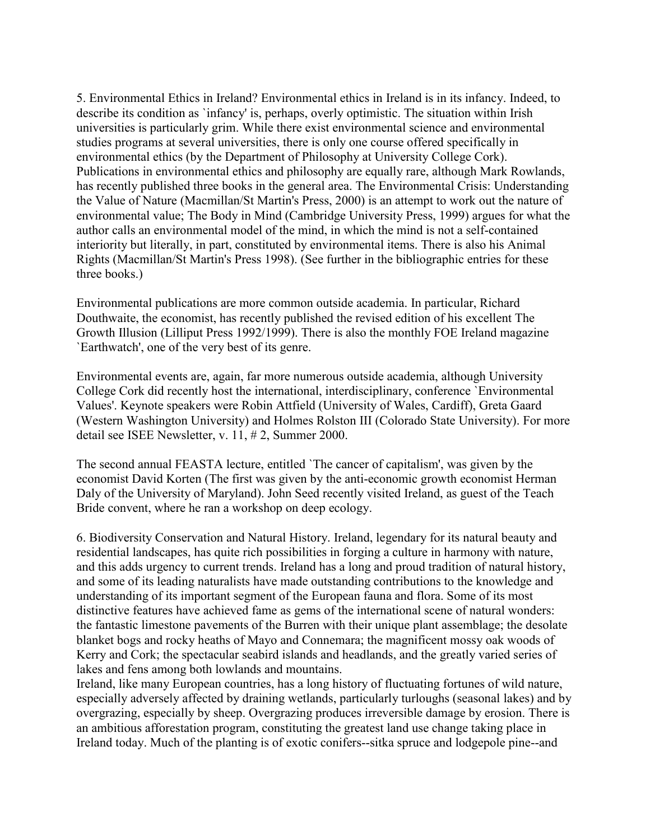5. Environmental Ethics in Ireland? Environmental ethics in Ireland is in its infancy. Indeed, to describe its condition as `infancy' is, perhaps, overly optimistic. The situation within Irish universities is particularly grim. While there exist environmental science and environmental studies programs at several universities, there is only one course offered specifically in environmental ethics (by the Department of Philosophy at University College Cork). Publications in environmental ethics and philosophy are equally rare, although Mark Rowlands, has recently published three books in the general area. The Environmental Crisis: Understanding the Value of Nature (Macmillan/St Martin's Press, 2000) is an attempt to work out the nature of environmental value; The Body in Mind (Cambridge University Press, 1999) argues for what the author calls an environmental model of the mind, in which the mind is not a self-contained interiority but literally, in part, constituted by environmental items. There is also his Animal Rights (Macmillan/St Martin's Press 1998). (See further in the bibliographic entries for these three books.)

Environmental publications are more common outside academia. In particular, Richard Douthwaite, the economist, has recently published the revised edition of his excellent The Growth Illusion (Lilliput Press 1992/1999). There is also the monthly FOE Ireland magazine `Earthwatch', one of the very best of its genre.

Environmental events are, again, far more numerous outside academia, although University College Cork did recently host the international, interdisciplinary, conference `Environmental Values'. Keynote speakers were Robin Attfield (University of Wales, Cardiff), Greta Gaard (Western Washington University) and Holmes Rolston III (Colorado State University). For more detail see ISEE Newsletter, v. 11, # 2, Summer 2000.

The second annual FEASTA lecture, entitled `The cancer of capitalism', was given by the economist David Korten (The first was given by the anti-economic growth economist Herman Daly of the University of Maryland). John Seed recently visited Ireland, as guest of the Teach Bride convent, where he ran a workshop on deep ecology.

6. Biodiversity Conservation and Natural History. Ireland, legendary for its natural beauty and residential landscapes, has quite rich possibilities in forging a culture in harmony with nature, and this adds urgency to current trends. Ireland has a long and proud tradition of natural history, and some of its leading naturalists have made outstanding contributions to the knowledge and understanding of its important segment of the European fauna and flora. Some of its most distinctive features have achieved fame as gems of the international scene of natural wonders: the fantastic limestone pavements of the Burren with their unique plant assemblage; the desolate blanket bogs and rocky heaths of Mayo and Connemara; the magnificent mossy oak woods of Kerry and Cork; the spectacular seabird islands and headlands, and the greatly varied series of lakes and fens among both lowlands and mountains.

Ireland, like many European countries, has a long history of fluctuating fortunes of wild nature, especially adversely affected by draining wetlands, particularly turloughs (seasonal lakes) and by overgrazing, especially by sheep. Overgrazing produces irreversible damage by erosion. There is an ambitious afforestation program, constituting the greatest land use change taking place in Ireland today. Much of the planting is of exotic conifers--sitka spruce and lodgepole pine--and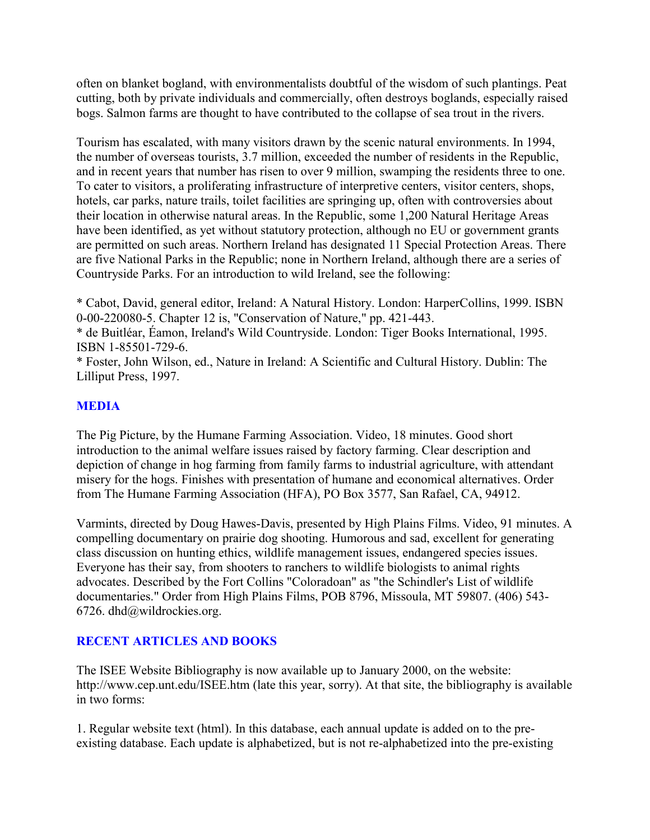often on blanket bogland, with environmentalists doubtful of the wisdom of such plantings. Peat cutting, both by private individuals and commercially, often destroys boglands, especially raised bogs. Salmon farms are thought to have contributed to the collapse of sea trout in the rivers.

Tourism has escalated, with many visitors drawn by the scenic natural environments. In 1994, the number of overseas tourists, 3.7 million, exceeded the number of residents in the Republic, and in recent years that number has risen to over 9 million, swamping the residents three to one. To cater to visitors, a proliferating infrastructure of interpretive centers, visitor centers, shops, hotels, car parks, nature trails, toilet facilities are springing up, often with controversies about their location in otherwise natural areas. In the Republic, some 1,200 Natural Heritage Areas have been identified, as yet without statutory protection, although no EU or government grants are permitted on such areas. Northern Ireland has designated 11 Special Protection Areas. There are five National Parks in the Republic; none in Northern Ireland, although there are a series of Countryside Parks. For an introduction to wild Ireland, see the following:

\* Cabot, David, general editor, Ireland: A Natural History. London: HarperCollins, 1999. ISBN 0-00-220080-5. Chapter 12 is, "Conservation of Nature," pp. 421-443.

\* de Buitléar, Éamon, Ireland's Wild Countryside. London: Tiger Books International, 1995. ISBN 1-85501-729-6.

\* Foster, John Wilson, ed., Nature in Ireland: A Scientific and Cultural History. Dublin: The Lilliput Press, 1997.

# **MEDIA**

The Pig Picture, by the Humane Farming Association. Video, 18 minutes. Good short introduction to the animal welfare issues raised by factory farming. Clear description and depiction of change in hog farming from family farms to industrial agriculture, with attendant misery for the hogs. Finishes with presentation of humane and economical alternatives. Order from The Humane Farming Association (HFA), PO Box 3577, San Rafael, CA, 94912.

Varmints, directed by Doug Hawes-Davis, presented by High Plains Films. Video, 91 minutes. A compelling documentary on prairie dog shooting. Humorous and sad, excellent for generating class discussion on hunting ethics, wildlife management issues, endangered species issues. Everyone has their say, from shooters to ranchers to wildlife biologists to animal rights advocates. Described by the Fort Collins "Coloradoan" as "the Schindler's List of wildlife documentaries." Order from High Plains Films, POB 8796, Missoula, MT 59807. (406) 543- 6726. dhd@wildrockies.org.

# **RECENT ARTICLES AND BOOKS**

The ISEE Website Bibliography is now available up to January 2000, on the website: http://www.cep.unt.edu/ISEE.htm (late this year, sorry). At that site, the bibliography is available in two forms:

1. Regular website text (html). In this database, each annual update is added on to the preexisting database. Each update is alphabetized, but is not re-alphabetized into the pre-existing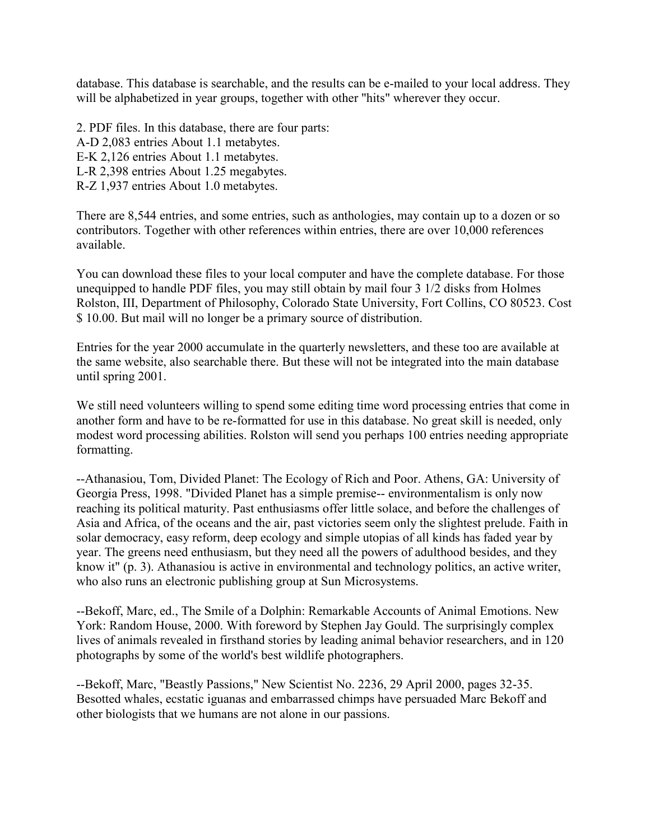database. This database is searchable, and the results can be e-mailed to your local address. They will be alphabetized in year groups, together with other "hits" wherever they occur.

2. PDF files. In this database, there are four parts: A-D 2,083 entries About 1.1 metabytes. E-K 2,126 entries About 1.1 metabytes. L-R 2,398 entries About 1.25 megabytes. R-Z 1,937 entries About 1.0 metabytes.

There are 8,544 entries, and some entries, such as anthologies, may contain up to a dozen or so contributors. Together with other references within entries, there are over 10,000 references available.

You can download these files to your local computer and have the complete database. For those unequipped to handle PDF files, you may still obtain by mail four 3 1/2 disks from Holmes Rolston, III, Department of Philosophy, Colorado State University, Fort Collins, CO 80523. Cost \$ 10.00. But mail will no longer be a primary source of distribution.

Entries for the year 2000 accumulate in the quarterly newsletters, and these too are available at the same website, also searchable there. But these will not be integrated into the main database until spring 2001.

We still need volunteers willing to spend some editing time word processing entries that come in another form and have to be re-formatted for use in this database. No great skill is needed, only modest word processing abilities. Rolston will send you perhaps 100 entries needing appropriate formatting.

--Athanasiou, Tom, Divided Planet: The Ecology of Rich and Poor. Athens, GA: University of Georgia Press, 1998. "Divided Planet has a simple premise-- environmentalism is only now reaching its political maturity. Past enthusiasms offer little solace, and before the challenges of Asia and Africa, of the oceans and the air, past victories seem only the slightest prelude. Faith in solar democracy, easy reform, deep ecology and simple utopias of all kinds has faded year by year. The greens need enthusiasm, but they need all the powers of adulthood besides, and they know it" (p. 3). Athanasiou is active in environmental and technology politics, an active writer, who also runs an electronic publishing group at Sun Microsystems.

--Bekoff, Marc, ed., The Smile of a Dolphin: Remarkable Accounts of Animal Emotions. New York: Random House, 2000. With foreword by Stephen Jay Gould. The surprisingly complex lives of animals revealed in firsthand stories by leading animal behavior researchers, and in 120 photographs by some of the world's best wildlife photographers.

--Bekoff, Marc, "Beastly Passions," New Scientist No. 2236, 29 April 2000, pages 32-35. Besotted whales, ecstatic iguanas and embarrassed chimps have persuaded Marc Bekoff and other biologists that we humans are not alone in our passions.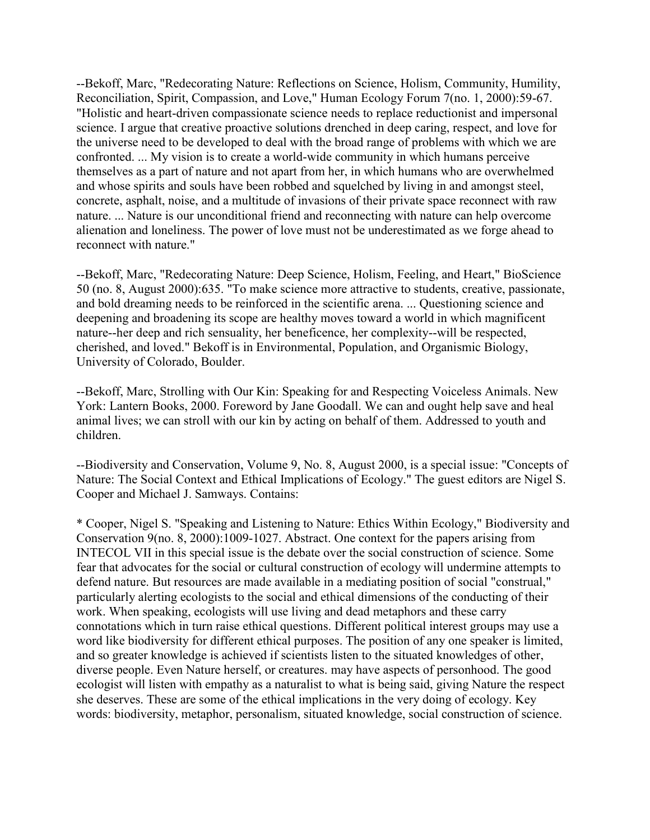--Bekoff, Marc, "Redecorating Nature: Reflections on Science, Holism, Community, Humility, Reconciliation, Spirit, Compassion, and Love," Human Ecology Forum 7(no. 1, 2000):59-67. "Holistic and heart-driven compassionate science needs to replace reductionist and impersonal science. I argue that creative proactive solutions drenched in deep caring, respect, and love for the universe need to be developed to deal with the broad range of problems with which we are confronted. ... My vision is to create a world-wide community in which humans perceive themselves as a part of nature and not apart from her, in which humans who are overwhelmed and whose spirits and souls have been robbed and squelched by living in and amongst steel, concrete, asphalt, noise, and a multitude of invasions of their private space reconnect with raw nature. ... Nature is our unconditional friend and reconnecting with nature can help overcome alienation and loneliness. The power of love must not be underestimated as we forge ahead to reconnect with nature."

--Bekoff, Marc, "Redecorating Nature: Deep Science, Holism, Feeling, and Heart," BioScience 50 (no. 8, August 2000):635. "To make science more attractive to students, creative, passionate, and bold dreaming needs to be reinforced in the scientific arena. ... Questioning science and deepening and broadening its scope are healthy moves toward a world in which magnificent nature--her deep and rich sensuality, her beneficence, her complexity--will be respected, cherished, and loved." Bekoff is in Environmental, Population, and Organismic Biology, University of Colorado, Boulder.

--Bekoff, Marc, Strolling with Our Kin: Speaking for and Respecting Voiceless Animals. New York: Lantern Books, 2000. Foreword by Jane Goodall. We can and ought help save and heal animal lives; we can stroll with our kin by acting on behalf of them. Addressed to youth and children.

--Biodiversity and Conservation, Volume 9, No. 8, August 2000, is a special issue: "Concepts of Nature: The Social Context and Ethical Implications of Ecology." The guest editors are Nigel S. Cooper and Michael J. Samways. Contains:

\* Cooper, Nigel S. "Speaking and Listening to Nature: Ethics Within Ecology," Biodiversity and Conservation 9(no. 8, 2000):1009-1027. Abstract. One context for the papers arising from INTECOL VII in this special issue is the debate over the social construction of science. Some fear that advocates for the social or cultural construction of ecology will undermine attempts to defend nature. But resources are made available in a mediating position of social "construal," particularly alerting ecologists to the social and ethical dimensions of the conducting of their work. When speaking, ecologists will use living and dead metaphors and these carry connotations which in turn raise ethical questions. Different political interest groups may use a word like biodiversity for different ethical purposes. The position of any one speaker is limited, and so greater knowledge is achieved if scientists listen to the situated knowledges of other, diverse people. Even Nature herself, or creatures. may have aspects of personhood. The good ecologist will listen with empathy as a naturalist to what is being said, giving Nature the respect she deserves. These are some of the ethical implications in the very doing of ecology. Key words: biodiversity, metaphor, personalism, situated knowledge, social construction of science.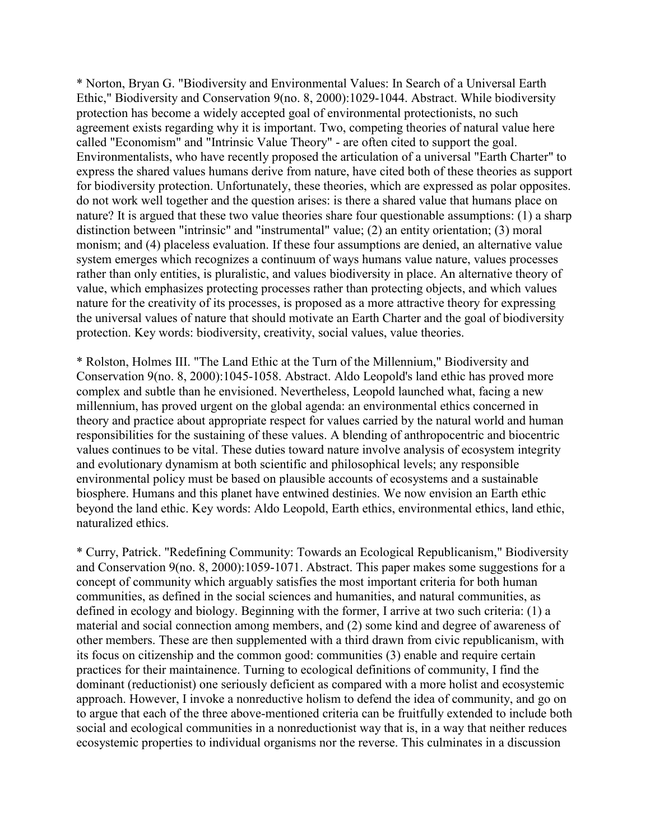\* Norton, Bryan G. "Biodiversity and Environmental Values: In Search of a Universal Earth Ethic," Biodiversity and Conservation 9(no. 8, 2000):1029-1044. Abstract. While biodiversity protection has become a widely accepted goal of environmental protectionists, no such agreement exists regarding why it is important. Two, competing theories of natural value here called "Economism" and "Intrinsic Value Theory" - are often cited to support the goal. Environmentalists, who have recently proposed the articulation of a universal "Earth Charter" to express the shared values humans derive from nature, have cited both of these theories as support for biodiversity protection. Unfortunately, these theories, which are expressed as polar opposites. do not work well together and the question arises: is there a shared value that humans place on nature? It is argued that these two value theories share four questionable assumptions: (1) a sharp distinction between "intrinsic" and "instrumental" value; (2) an entity orientation; (3) moral monism; and (4) placeless evaluation. If these four assumptions are denied, an alternative value system emerges which recognizes a continuum of ways humans value nature, values processes rather than only entities, is pluralistic, and values biodiversity in place. An alternative theory of value, which emphasizes protecting processes rather than protecting objects, and which values nature for the creativity of its processes, is proposed as a more attractive theory for expressing the universal values of nature that should motivate an Earth Charter and the goal of biodiversity protection. Key words: biodiversity, creativity, social values, value theories.

\* Rolston, Holmes III. "The Land Ethic at the Turn of the Millennium," Biodiversity and Conservation 9(no. 8, 2000):1045-1058. Abstract. Aldo Leopold's land ethic has proved more complex and subtle than he envisioned. Nevertheless, Leopold launched what, facing a new millennium, has proved urgent on the global agenda: an environmental ethics concerned in theory and practice about appropriate respect for values carried by the natural world and human responsibilities for the sustaining of these values. A blending of anthropocentric and biocentric values continues to be vital. These duties toward nature involve analysis of ecosystem integrity and evolutionary dynamism at both scientific and philosophical levels; any responsible environmental policy must be based on plausible accounts of ecosystems and a sustainable biosphere. Humans and this planet have entwined destinies. We now envision an Earth ethic beyond the land ethic. Key words: Aldo Leopold, Earth ethics, environmental ethics, land ethic, naturalized ethics.

\* Curry, Patrick. "Redefining Community: Towards an Ecological Republicanism," Biodiversity and Conservation 9(no. 8, 2000):1059-1071. Abstract. This paper makes some suggestions for a concept of community which arguably satisfies the most important criteria for both human communities, as defined in the social sciences and humanities, and natural communities, as defined in ecology and biology. Beginning with the former, I arrive at two such criteria: (1) a material and social connection among members, and (2) some kind and degree of awareness of other members. These are then supplemented with a third drawn from civic republicanism, with its focus on citizenship and the common good: communities (3) enable and require certain practices for their maintainence. Turning to ecological definitions of community, I find the dominant (reductionist) one seriously deficient as compared with a more holist and ecosystemic approach. However, I invoke a nonreductive holism to defend the idea of community, and go on to argue that each of the three above-mentioned criteria can be fruitfully extended to include both social and ecological communities in a nonreductionist way that is, in a way that neither reduces ecosystemic properties to individual organisms nor the reverse. This culminates in a discussion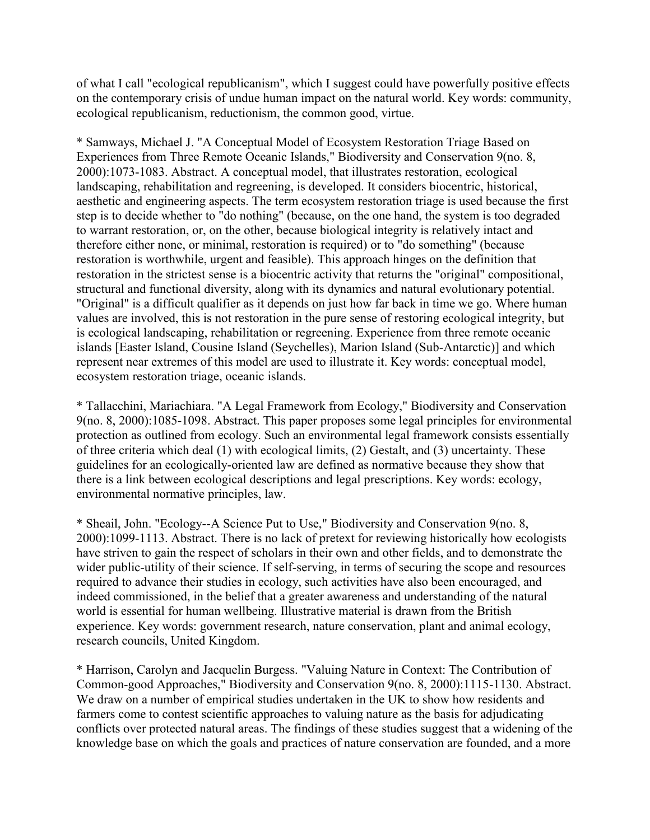of what I call "ecological republicanism", which I suggest could have powerfully positive effects on the contemporary crisis of undue human impact on the natural world. Key words: community, ecological republicanism, reductionism, the common good, virtue.

\* Samways, Michael J. "A Conceptual Model of Ecosystem Restoration Triage Based on Experiences from Three Remote Oceanic Islands," Biodiversity and Conservation 9(no. 8, 2000):1073-1083. Abstract. A conceptual model, that illustrates restoration, ecological landscaping, rehabilitation and regreening, is developed. It considers biocentric, historical, aesthetic and engineering aspects. The term ecosystem restoration triage is used because the first step is to decide whether to "do nothing" (because, on the one hand, the system is too degraded to warrant restoration, or, on the other, because biological integrity is relatively intact and therefore either none, or minimal, restoration is required) or to "do something" (because restoration is worthwhile, urgent and feasible). This approach hinges on the definition that restoration in the strictest sense is a biocentric activity that returns the "original" compositional, structural and functional diversity, along with its dynamics and natural evolutionary potential. "Original" is a difficult qualifier as it depends on just how far back in time we go. Where human values are involved, this is not restoration in the pure sense of restoring ecological integrity, but is ecological landscaping, rehabilitation or regreening. Experience from three remote oceanic islands [Easter Island, Cousine Island (Seychelles), Marion Island (Sub-Antarctic)] and which represent near extremes of this model are used to illustrate it. Key words: conceptual model, ecosystem restoration triage, oceanic islands.

\* Tallacchini, Mariachiara. "A Legal Framework from Ecology," Biodiversity and Conservation 9(no. 8, 2000):1085-1098. Abstract. This paper proposes some legal principles for environmental protection as outlined from ecology. Such an environmental legal framework consists essentially of three criteria which deal (1) with ecological limits, (2) Gestalt, and (3) uncertainty. These guidelines for an ecologically-oriented law are defined as normative because they show that there is a link between ecological descriptions and legal prescriptions. Key words: ecology, environmental normative principles, law.

\* Sheail, John. "Ecology--A Science Put to Use," Biodiversity and Conservation 9(no. 8, 2000):1099-1113. Abstract. There is no lack of pretext for reviewing historically how ecologists have striven to gain the respect of scholars in their own and other fields, and to demonstrate the wider public-utility of their science. If self-serving, in terms of securing the scope and resources required to advance their studies in ecology, such activities have also been encouraged, and indeed commissioned, in the belief that a greater awareness and understanding of the natural world is essential for human wellbeing. Illustrative material is drawn from the British experience. Key words: government research, nature conservation, plant and animal ecology, research councils, United Kingdom.

\* Harrison, Carolyn and Jacquelin Burgess. "Valuing Nature in Context: The Contribution of Common-good Approaches," Biodiversity and Conservation 9(no. 8, 2000):1115-1130. Abstract. We draw on a number of empirical studies undertaken in the UK to show how residents and farmers come to contest scientific approaches to valuing nature as the basis for adjudicating conflicts over protected natural areas. The findings of these studies suggest that a widening of the knowledge base on which the goals and practices of nature conservation are founded, and a more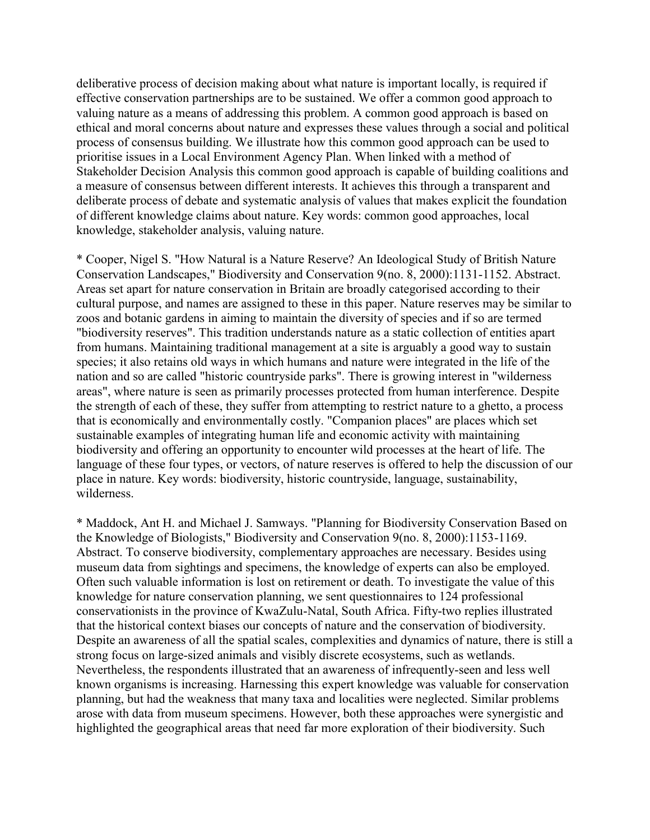deliberative process of decision making about what nature is important locally, is required if effective conservation partnerships are to be sustained. We offer a common good approach to valuing nature as a means of addressing this problem. A common good approach is based on ethical and moral concerns about nature and expresses these values through a social and political process of consensus building. We illustrate how this common good approach can be used to prioritise issues in a Local Environment Agency Plan. When linked with a method of Stakeholder Decision Analysis this common good approach is capable of building coalitions and a measure of consensus between different interests. It achieves this through a transparent and deliberate process of debate and systematic analysis of values that makes explicit the foundation of different knowledge claims about nature. Key words: common good approaches, local knowledge, stakeholder analysis, valuing nature.

\* Cooper, Nigel S. "How Natural is a Nature Reserve? An Ideological Study of British Nature Conservation Landscapes," Biodiversity and Conservation 9(no. 8, 2000):1131-1152. Abstract. Areas set apart for nature conservation in Britain are broadly categorised according to their cultural purpose, and names are assigned to these in this paper. Nature reserves may be similar to zoos and botanic gardens in aiming to maintain the diversity of species and if so are termed "biodiversity reserves". This tradition understands nature as a static collection of entities apart from humans. Maintaining traditional management at a site is arguably a good way to sustain species; it also retains old ways in which humans and nature were integrated in the life of the nation and so are called "historic countryside parks". There is growing interest in "wilderness areas", where nature is seen as primarily processes protected from human interference. Despite the strength of each of these, they suffer from attempting to restrict nature to a ghetto, a process that is economically and environmentally costly. "Companion places" are places which set sustainable examples of integrating human life and economic activity with maintaining biodiversity and offering an opportunity to encounter wild processes at the heart of life. The language of these four types, or vectors, of nature reserves is offered to help the discussion of our place in nature. Key words: biodiversity, historic countryside, language, sustainability, wilderness.

\* Maddock, Ant H. and Michael J. Samways. "Planning for Biodiversity Conservation Based on the Knowledge of Biologists," Biodiversity and Conservation 9(no. 8, 2000):1153-1169. Abstract. To conserve biodiversity, complementary approaches are necessary. Besides using museum data from sightings and specimens, the knowledge of experts can also be employed. Often such valuable information is lost on retirement or death. To investigate the value of this knowledge for nature conservation planning, we sent questionnaires to 124 professional conservationists in the province of KwaZulu-Natal, South Africa. Fifty-two replies illustrated that the historical context biases our concepts of nature and the conservation of biodiversity. Despite an awareness of all the spatial scales, complexities and dynamics of nature, there is still a strong focus on large-sized animals and visibly discrete ecosystems, such as wetlands. Nevertheless, the respondents illustrated that an awareness of infrequently-seen and less well known organisms is increasing. Harnessing this expert knowledge was valuable for conservation planning, but had the weakness that many taxa and localities were neglected. Similar problems arose with data from museum specimens. However, both these approaches were synergistic and highlighted the geographical areas that need far more exploration of their biodiversity. Such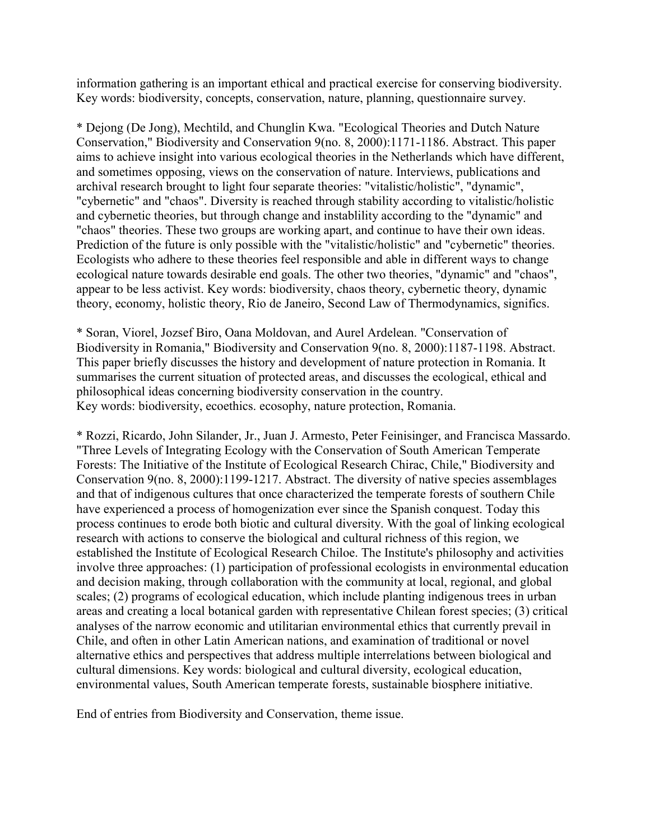information gathering is an important ethical and practical exercise for conserving biodiversity. Key words: biodiversity, concepts, conservation, nature, planning, questionnaire survey.

\* Dejong (De Jong), Mechtild, and Chunglin Kwa. "Ecological Theories and Dutch Nature Conservation," Biodiversity and Conservation 9(no. 8, 2000):1171-1186. Abstract. This paper aims to achieve insight into various ecological theories in the Netherlands which have different, and sometimes opposing, views on the conservation of nature. Interviews, publications and archival research brought to light four separate theories: "vitalistic/holistic", "dynamic", "cybernetic" and "chaos". Diversity is reached through stability according to vitalistic/holistic and cybernetic theories, but through change and instablility according to the "dynamic" and "chaos" theories. These two groups are working apart, and continue to have their own ideas. Prediction of the future is only possible with the "vitalistic/holistic" and "cybernetic" theories. Ecologists who adhere to these theories feel responsible and able in different ways to change ecological nature towards desirable end goals. The other two theories, "dynamic" and "chaos", appear to be less activist. Key words: biodiversity, chaos theory, cybernetic theory, dynamic theory, economy, holistic theory, Rio de Janeiro, Second Law of Thermodynamics, significs.

\* Soran, Viorel, Jozsef Biro, Oana Moldovan, and Aurel Ardelean. "Conservation of Biodiversity in Romania," Biodiversity and Conservation 9(no. 8, 2000):1187-1198. Abstract. This paper briefly discusses the history and development of nature protection in Romania. It summarises the current situation of protected areas, and discusses the ecological, ethical and philosophical ideas concerning biodiversity conservation in the country. Key words: biodiversity, ecoethics. ecosophy, nature protection, Romania.

\* Rozzi, Ricardo, John Silander, Jr., Juan J. Armesto, Peter Feinisinger, and Francisca Massardo. "Three Levels of Integrating Ecology with the Conservation of South American Temperate Forests: The Initiative of the Institute of Ecological Research Chirac, Chile," Biodiversity and Conservation 9(no. 8, 2000):1199-1217. Abstract. The diversity of native species assemblages and that of indigenous cultures that once characterized the temperate forests of southern Chile have experienced a process of homogenization ever since the Spanish conquest. Today this process continues to erode both biotic and cultural diversity. With the goal of linking ecological research with actions to conserve the biological and cultural richness of this region, we established the Institute of Ecological Research Chiloe. The Institute's philosophy and activities involve three approaches: (1) participation of professional ecologists in environmental education and decision making, through collaboration with the community at local, regional, and global scales; (2) programs of ecological education, which include planting indigenous trees in urban areas and creating a local botanical garden with representative Chilean forest species; (3) critical analyses of the narrow economic and utilitarian environmental ethics that currently prevail in Chile, and often in other Latin American nations, and examination of traditional or novel alternative ethics and perspectives that address multiple interrelations between biological and cultural dimensions. Key words: biological and cultural diversity, ecological education, environmental values, South American temperate forests, sustainable biosphere initiative.

End of entries from Biodiversity and Conservation, theme issue.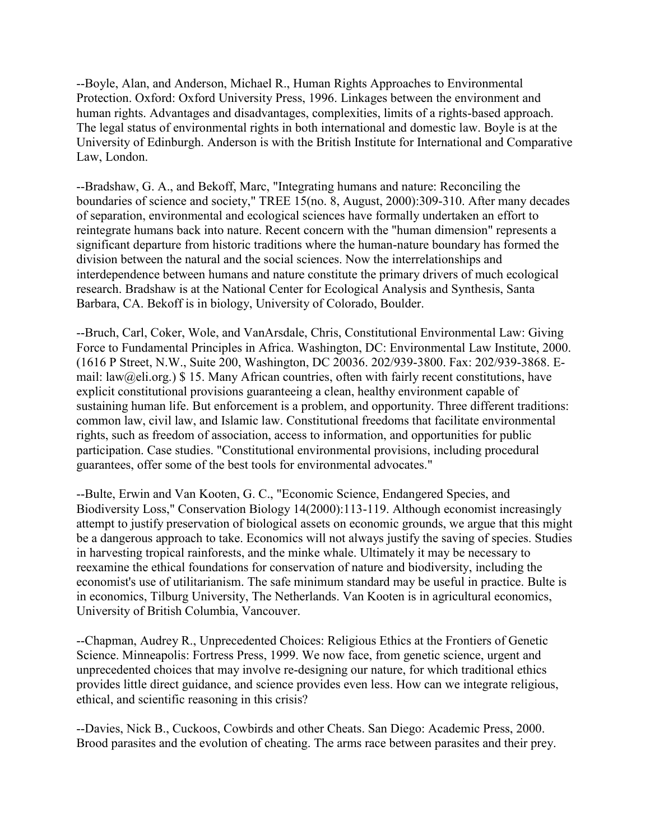--Boyle, Alan, and Anderson, Michael R., Human Rights Approaches to Environmental Protection. Oxford: Oxford University Press, 1996. Linkages between the environment and human rights. Advantages and disadvantages, complexities, limits of a rights-based approach. The legal status of environmental rights in both international and domestic law. Boyle is at the University of Edinburgh. Anderson is with the British Institute for International and Comparative Law, London.

--Bradshaw, G. A., and Bekoff, Marc, "Integrating humans and nature: Reconciling the boundaries of science and society," TREE 15(no. 8, August, 2000):309-310. After many decades of separation, environmental and ecological sciences have formally undertaken an effort to reintegrate humans back into nature. Recent concern with the "human dimension" represents a significant departure from historic traditions where the human-nature boundary has formed the division between the natural and the social sciences. Now the interrelationships and interdependence between humans and nature constitute the primary drivers of much ecological research. Bradshaw is at the National Center for Ecological Analysis and Synthesis, Santa Barbara, CA. Bekoff is in biology, University of Colorado, Boulder.

--Bruch, Carl, Coker, Wole, and VanArsdale, Chris, Constitutional Environmental Law: Giving Force to Fundamental Principles in Africa. Washington, DC: Environmental Law Institute, 2000. (1616 P Street, N.W., Suite 200, Washington, DC 20036. 202/939-3800. Fax: 202/939-3868. Email: law@eli.org.) \$ 15. Many African countries, often with fairly recent constitutions, have explicit constitutional provisions guaranteeing a clean, healthy environment capable of sustaining human life. But enforcement is a problem, and opportunity. Three different traditions: common law, civil law, and Islamic law. Constitutional freedoms that facilitate environmental rights, such as freedom of association, access to information, and opportunities for public participation. Case studies. "Constitutional environmental provisions, including procedural guarantees, offer some of the best tools for environmental advocates."

--Bulte, Erwin and Van Kooten, G. C., "Economic Science, Endangered Species, and Biodiversity Loss," Conservation Biology 14(2000):113-119. Although economist increasingly attempt to justify preservation of biological assets on economic grounds, we argue that this might be a dangerous approach to take. Economics will not always justify the saving of species. Studies in harvesting tropical rainforests, and the minke whale. Ultimately it may be necessary to reexamine the ethical foundations for conservation of nature and biodiversity, including the economist's use of utilitarianism. The safe minimum standard may be useful in practice. Bulte is in economics, Tilburg University, The Netherlands. Van Kooten is in agricultural economics, University of British Columbia, Vancouver.

--Chapman, Audrey R., Unprecedented Choices: Religious Ethics at the Frontiers of Genetic Science. Minneapolis: Fortress Press, 1999. We now face, from genetic science, urgent and unprecedented choices that may involve re-designing our nature, for which traditional ethics provides little direct guidance, and science provides even less. How can we integrate religious, ethical, and scientific reasoning in this crisis?

--Davies, Nick B., Cuckoos, Cowbirds and other Cheats. San Diego: Academic Press, 2000. Brood parasites and the evolution of cheating. The arms race between parasites and their prey.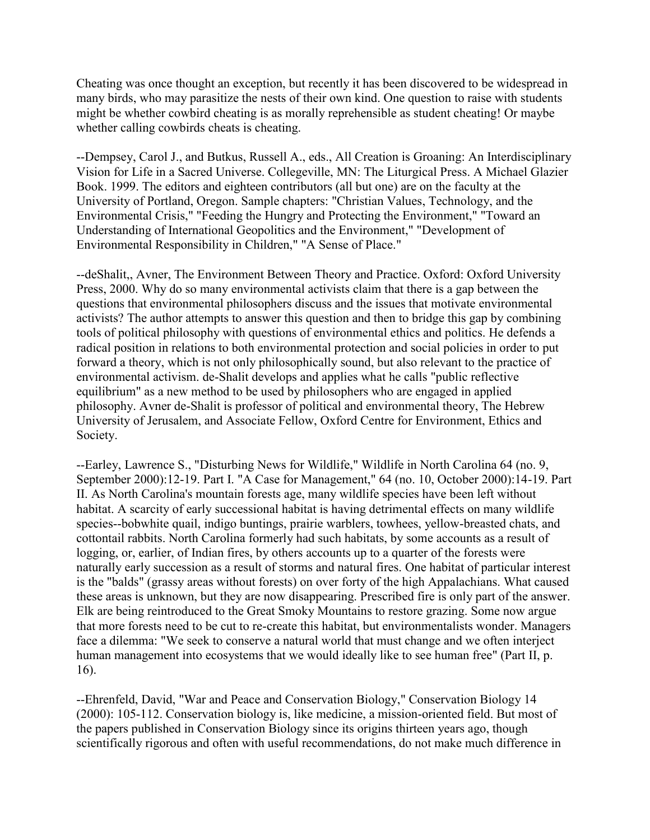Cheating was once thought an exception, but recently it has been discovered to be widespread in many birds, who may parasitize the nests of their own kind. One question to raise with students might be whether cowbird cheating is as morally reprehensible as student cheating! Or maybe whether calling cowbirds cheats is cheating.

--Dempsey, Carol J., and Butkus, Russell A., eds., All Creation is Groaning: An Interdisciplinary Vision for Life in a Sacred Universe. Collegeville, MN: The Liturgical Press. A Michael Glazier Book. 1999. The editors and eighteen contributors (all but one) are on the faculty at the University of Portland, Oregon. Sample chapters: "Christian Values, Technology, and the Environmental Crisis," "Feeding the Hungry and Protecting the Environment," "Toward an Understanding of International Geopolitics and the Environment," "Development of Environmental Responsibility in Children," "A Sense of Place."

--deShalit,, Avner, The Environment Between Theory and Practice. Oxford: Oxford University Press, 2000. Why do so many environmental activists claim that there is a gap between the questions that environmental philosophers discuss and the issues that motivate environmental activists? The author attempts to answer this question and then to bridge this gap by combining tools of political philosophy with questions of environmental ethics and politics. He defends a radical position in relations to both environmental protection and social policies in order to put forward a theory, which is not only philosophically sound, but also relevant to the practice of environmental activism. de-Shalit develops and applies what he calls "public reflective equilibrium" as a new method to be used by philosophers who are engaged in applied philosophy. Avner de-Shalit is professor of political and environmental theory, The Hebrew University of Jerusalem, and Associate Fellow, Oxford Centre for Environment, Ethics and Society.

--Earley, Lawrence S., "Disturbing News for Wildlife," Wildlife in North Carolina 64 (no. 9, September 2000):12-19. Part I. "A Case for Management," 64 (no. 10, October 2000):14-19. Part II. As North Carolina's mountain forests age, many wildlife species have been left without habitat. A scarcity of early successional habitat is having detrimental effects on many wildlife species--bobwhite quail, indigo buntings, prairie warblers, towhees, yellow-breasted chats, and cottontail rabbits. North Carolina formerly had such habitats, by some accounts as a result of logging, or, earlier, of Indian fires, by others accounts up to a quarter of the forests were naturally early succession as a result of storms and natural fires. One habitat of particular interest is the "balds" (grassy areas without forests) on over forty of the high Appalachians. What caused these areas is unknown, but they are now disappearing. Prescribed fire is only part of the answer. Elk are being reintroduced to the Great Smoky Mountains to restore grazing. Some now argue that more forests need to be cut to re-create this habitat, but environmentalists wonder. Managers face a dilemma: "We seek to conserve a natural world that must change and we often interject human management into ecosystems that we would ideally like to see human free" (Part II, p. 16).

--Ehrenfeld, David, "War and Peace and Conservation Biology," Conservation Biology 14 (2000): 105-112. Conservation biology is, like medicine, a mission-oriented field. But most of the papers published in Conservation Biology since its origins thirteen years ago, though scientifically rigorous and often with useful recommendations, do not make much difference in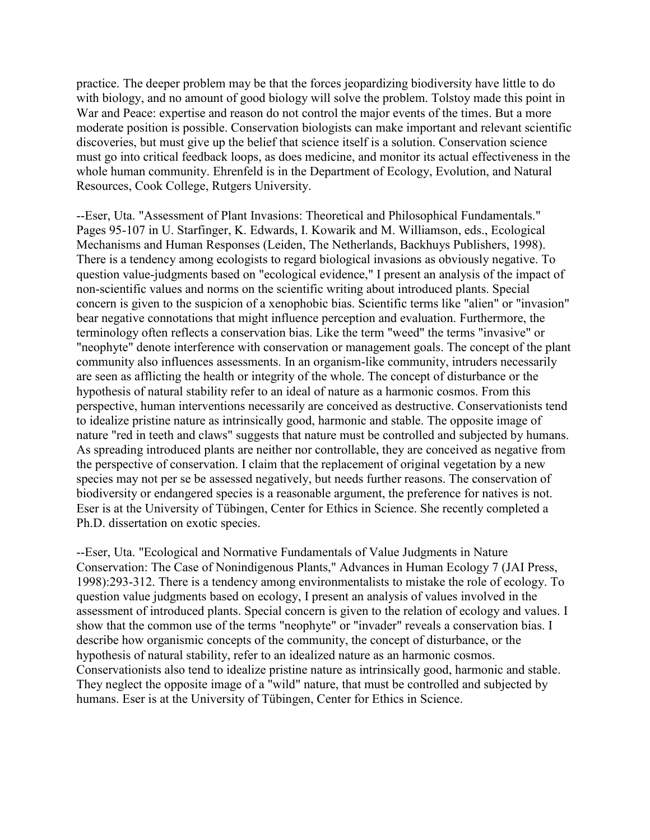practice. The deeper problem may be that the forces jeopardizing biodiversity have little to do with biology, and no amount of good biology will solve the problem. Tolstoy made this point in War and Peace: expertise and reason do not control the major events of the times. But a more moderate position is possible. Conservation biologists can make important and relevant scientific discoveries, but must give up the belief that science itself is a solution. Conservation science must go into critical feedback loops, as does medicine, and monitor its actual effectiveness in the whole human community. Ehrenfeld is in the Department of Ecology, Evolution, and Natural Resources, Cook College, Rutgers University.

--Eser, Uta. "Assessment of Plant Invasions: Theoretical and Philosophical Fundamentals." Pages 95-107 in U. Starfinger, K. Edwards, I. Kowarik and M. Williamson, eds., Ecological Mechanisms and Human Responses (Leiden, The Netherlands, Backhuys Publishers, 1998). There is a tendency among ecologists to regard biological invasions as obviously negative. To question value-judgments based on "ecological evidence," I present an analysis of the impact of non-scientific values and norms on the scientific writing about introduced plants. Special concern is given to the suspicion of a xenophobic bias. Scientific terms like "alien" or "invasion" bear negative connotations that might influence perception and evaluation. Furthermore, the terminology often reflects a conservation bias. Like the term "weed" the terms "invasive" or "neophyte" denote interference with conservation or management goals. The concept of the plant community also influences assessments. In an organism-like community, intruders necessarily are seen as afflicting the health or integrity of the whole. The concept of disturbance or the hypothesis of natural stability refer to an ideal of nature as a harmonic cosmos. From this perspective, human interventions necessarily are conceived as destructive. Conservationists tend to idealize pristine nature as intrinsically good, harmonic and stable. The opposite image of nature "red in teeth and claws" suggests that nature must be controlled and subjected by humans. As spreading introduced plants are neither nor controllable, they are conceived as negative from the perspective of conservation. I claim that the replacement of original vegetation by a new species may not per se be assessed negatively, but needs further reasons. The conservation of biodiversity or endangered species is a reasonable argument, the preference for natives is not. Eser is at the University of Tübingen, Center for Ethics in Science. She recently completed a Ph.D. dissertation on exotic species.

--Eser, Uta. "Ecological and Normative Fundamentals of Value Judgments in Nature Conservation: The Case of Nonindigenous Plants," Advances in Human Ecology 7 (JAI Press, 1998):293-312. There is a tendency among environmentalists to mistake the role of ecology. To question value judgments based on ecology, I present an analysis of values involved in the assessment of introduced plants. Special concern is given to the relation of ecology and values. I show that the common use of the terms "neophyte" or "invader" reveals a conservation bias. I describe how organismic concepts of the community, the concept of disturbance, or the hypothesis of natural stability, refer to an idealized nature as an harmonic cosmos. Conservationists also tend to idealize pristine nature as intrinsically good, harmonic and stable. They neglect the opposite image of a "wild" nature, that must be controlled and subjected by humans. Eser is at the University of Tübingen, Center for Ethics in Science.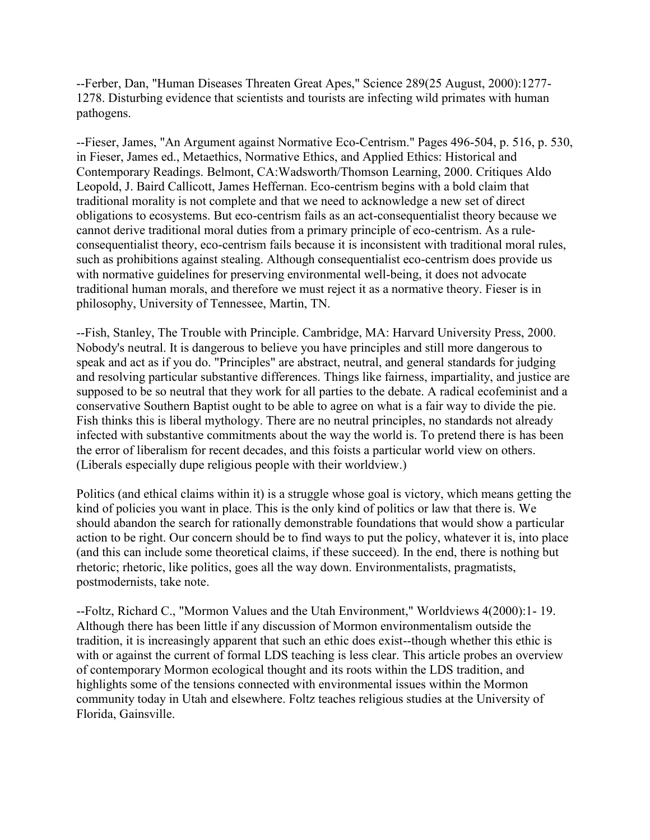--Ferber, Dan, "Human Diseases Threaten Great Apes," Science 289(25 August, 2000):1277- 1278. Disturbing evidence that scientists and tourists are infecting wild primates with human pathogens.

--Fieser, James, "An Argument against Normative Eco-Centrism." Pages 496-504, p. 516, p. 530, in Fieser, James ed., Metaethics, Normative Ethics, and Applied Ethics: Historical and Contemporary Readings. Belmont, CA:Wadsworth/Thomson Learning, 2000. Critiques Aldo Leopold, J. Baird Callicott, James Heffernan. Eco-centrism begins with a bold claim that traditional morality is not complete and that we need to acknowledge a new set of direct obligations to ecosystems. But eco-centrism fails as an act-consequentialist theory because we cannot derive traditional moral duties from a primary principle of eco-centrism. As a ruleconsequentialist theory, eco-centrism fails because it is inconsistent with traditional moral rules, such as prohibitions against stealing. Although consequentialist eco-centrism does provide us with normative guidelines for preserving environmental well-being, it does not advocate traditional human morals, and therefore we must reject it as a normative theory. Fieser is in philosophy, University of Tennessee, Martin, TN.

--Fish, Stanley, The Trouble with Principle. Cambridge, MA: Harvard University Press, 2000. Nobody's neutral. It is dangerous to believe you have principles and still more dangerous to speak and act as if you do. "Principles" are abstract, neutral, and general standards for judging and resolving particular substantive differences. Things like fairness, impartiality, and justice are supposed to be so neutral that they work for all parties to the debate. A radical ecofeminist and a conservative Southern Baptist ought to be able to agree on what is a fair way to divide the pie. Fish thinks this is liberal mythology. There are no neutral principles, no standards not already infected with substantive commitments about the way the world is. To pretend there is has been the error of liberalism for recent decades, and this foists a particular world view on others. (Liberals especially dupe religious people with their worldview.)

Politics (and ethical claims within it) is a struggle whose goal is victory, which means getting the kind of policies you want in place. This is the only kind of politics or law that there is. We should abandon the search for rationally demonstrable foundations that would show a particular action to be right. Our concern should be to find ways to put the policy, whatever it is, into place (and this can include some theoretical claims, if these succeed). In the end, there is nothing but rhetoric; rhetoric, like politics, goes all the way down. Environmentalists, pragmatists, postmodernists, take note.

--Foltz, Richard C., "Mormon Values and the Utah Environment," Worldviews 4(2000):1- 19. Although there has been little if any discussion of Mormon environmentalism outside the tradition, it is increasingly apparent that such an ethic does exist--though whether this ethic is with or against the current of formal LDS teaching is less clear. This article probes an overview of contemporary Mormon ecological thought and its roots within the LDS tradition, and highlights some of the tensions connected with environmental issues within the Mormon community today in Utah and elsewhere. Foltz teaches religious studies at the University of Florida, Gainsville.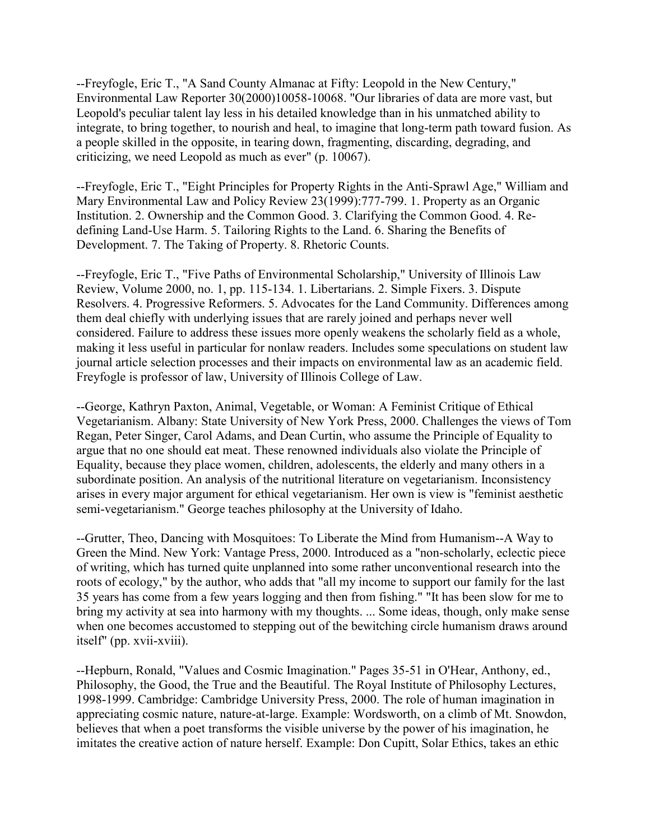--Freyfogle, Eric T., "A Sand County Almanac at Fifty: Leopold in the New Century," Environmental Law Reporter 30(2000)10058-10068. "Our libraries of data are more vast, but Leopold's peculiar talent lay less in his detailed knowledge than in his unmatched ability to integrate, to bring together, to nourish and heal, to imagine that long-term path toward fusion. As a people skilled in the opposite, in tearing down, fragmenting, discarding, degrading, and criticizing, we need Leopold as much as ever" (p. 10067).

--Freyfogle, Eric T., "Eight Principles for Property Rights in the Anti-Sprawl Age," William and Mary Environmental Law and Policy Review 23(1999):777-799. 1. Property as an Organic Institution. 2. Ownership and the Common Good. 3. Clarifying the Common Good. 4. Redefining Land-Use Harm. 5. Tailoring Rights to the Land. 6. Sharing the Benefits of Development. 7. The Taking of Property. 8. Rhetoric Counts.

--Freyfogle, Eric T., "Five Paths of Environmental Scholarship," University of Illinois Law Review, Volume 2000, no. 1, pp. 115-134. 1. Libertarians. 2. Simple Fixers. 3. Dispute Resolvers. 4. Progressive Reformers. 5. Advocates for the Land Community. Differences among them deal chiefly with underlying issues that are rarely joined and perhaps never well considered. Failure to address these issues more openly weakens the scholarly field as a whole, making it less useful in particular for nonlaw readers. Includes some speculations on student law journal article selection processes and their impacts on environmental law as an academic field. Freyfogle is professor of law, University of Illinois College of Law.

--George, Kathryn Paxton, Animal, Vegetable, or Woman: A Feminist Critique of Ethical Vegetarianism. Albany: State University of New York Press, 2000. Challenges the views of Tom Regan, Peter Singer, Carol Adams, and Dean Curtin, who assume the Principle of Equality to argue that no one should eat meat. These renowned individuals also violate the Principle of Equality, because they place women, children, adolescents, the elderly and many others in a subordinate position. An analysis of the nutritional literature on vegetarianism. Inconsistency arises in every major argument for ethical vegetarianism. Her own is view is "feminist aesthetic semi-vegetarianism." George teaches philosophy at the University of Idaho.

--Grutter, Theo, Dancing with Mosquitoes: To Liberate the Mind from Humanism--A Way to Green the Mind. New York: Vantage Press, 2000. Introduced as a "non-scholarly, eclectic piece of writing, which has turned quite unplanned into some rather unconventional research into the roots of ecology," by the author, who adds that "all my income to support our family for the last 35 years has come from a few years logging and then from fishing." "It has been slow for me to bring my activity at sea into harmony with my thoughts. ... Some ideas, though, only make sense when one becomes accustomed to stepping out of the bewitching circle humanism draws around itself" (pp. xvii-xviii).

--Hepburn, Ronald, "Values and Cosmic Imagination." Pages 35-51 in O'Hear, Anthony, ed., Philosophy, the Good, the True and the Beautiful. The Royal Institute of Philosophy Lectures, 1998-1999. Cambridge: Cambridge University Press, 2000. The role of human imagination in appreciating cosmic nature, nature-at-large. Example: Wordsworth, on a climb of Mt. Snowdon, believes that when a poet transforms the visible universe by the power of his imagination, he imitates the creative action of nature herself. Example: Don Cupitt, Solar Ethics, takes an ethic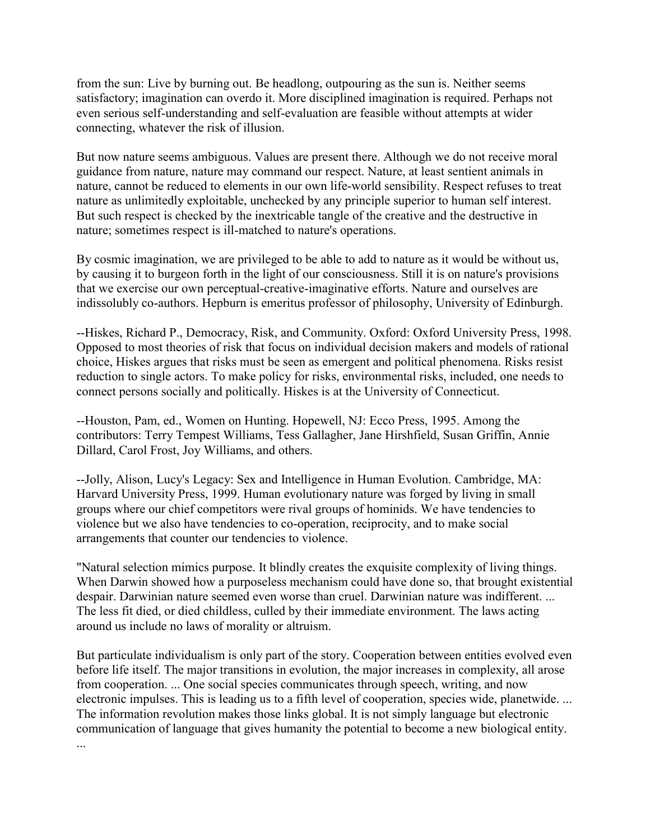from the sun: Live by burning out. Be headlong, outpouring as the sun is. Neither seems satisfactory; imagination can overdo it. More disciplined imagination is required. Perhaps not even serious self-understanding and self-evaluation are feasible without attempts at wider connecting, whatever the risk of illusion.

But now nature seems ambiguous. Values are present there. Although we do not receive moral guidance from nature, nature may command our respect. Nature, at least sentient animals in nature, cannot be reduced to elements in our own life-world sensibility. Respect refuses to treat nature as unlimitedly exploitable, unchecked by any principle superior to human self interest. But such respect is checked by the inextricable tangle of the creative and the destructive in nature; sometimes respect is ill-matched to nature's operations.

By cosmic imagination, we are privileged to be able to add to nature as it would be without us, by causing it to burgeon forth in the light of our consciousness. Still it is on nature's provisions that we exercise our own perceptual-creative-imaginative efforts. Nature and ourselves are indissolubly co-authors. Hepburn is emeritus professor of philosophy, University of Edinburgh.

--Hiskes, Richard P., Democracy, Risk, and Community. Oxford: Oxford University Press, 1998. Opposed to most theories of risk that focus on individual decision makers and models of rational choice, Hiskes argues that risks must be seen as emergent and political phenomena. Risks resist reduction to single actors. To make policy for risks, environmental risks, included, one needs to connect persons socially and politically. Hiskes is at the University of Connecticut.

--Houston, Pam, ed., Women on Hunting. Hopewell, NJ: Ecco Press, 1995. Among the contributors: Terry Tempest Williams, Tess Gallagher, Jane Hirshfield, Susan Griffin, Annie Dillard, Carol Frost, Joy Williams, and others.

--Jolly, Alison, Lucy's Legacy: Sex and Intelligence in Human Evolution. Cambridge, MA: Harvard University Press, 1999. Human evolutionary nature was forged by living in small groups where our chief competitors were rival groups of hominids. We have tendencies to violence but we also have tendencies to co-operation, reciprocity, and to make social arrangements that counter our tendencies to violence.

"Natural selection mimics purpose. It blindly creates the exquisite complexity of living things. When Darwin showed how a purposeless mechanism could have done so, that brought existential despair. Darwinian nature seemed even worse than cruel. Darwinian nature was indifferent. ... The less fit died, or died childless, culled by their immediate environment. The laws acting around us include no laws of morality or altruism.

But particulate individualism is only part of the story. Cooperation between entities evolved even before life itself. The major transitions in evolution, the major increases in complexity, all arose from cooperation. ... One social species communicates through speech, writing, and now electronic impulses. This is leading us to a fifth level of cooperation, species wide, planetwide. ... The information revolution makes those links global. It is not simply language but electronic communication of language that gives humanity the potential to become a new biological entity.

...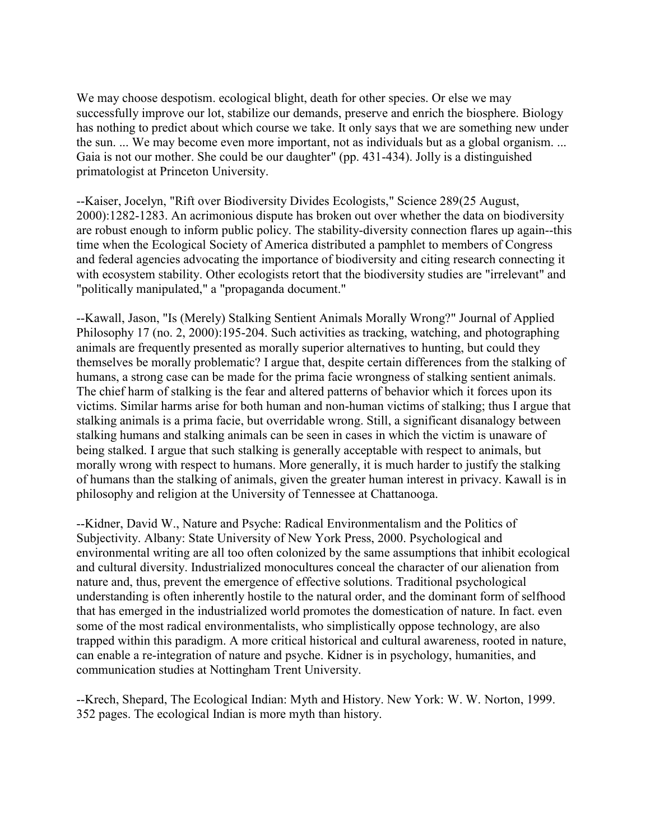We may choose despotism. ecological blight, death for other species. Or else we may successfully improve our lot, stabilize our demands, preserve and enrich the biosphere. Biology has nothing to predict about which course we take. It only says that we are something new under the sun. ... We may become even more important, not as individuals but as a global organism. ... Gaia is not our mother. She could be our daughter" (pp. 431-434). Jolly is a distinguished primatologist at Princeton University.

--Kaiser, Jocelyn, "Rift over Biodiversity Divides Ecologists," Science 289(25 August, 2000):1282-1283. An acrimonious dispute has broken out over whether the data on biodiversity are robust enough to inform public policy. The stability-diversity connection flares up again--this time when the Ecological Society of America distributed a pamphlet to members of Congress and federal agencies advocating the importance of biodiversity and citing research connecting it with ecosystem stability. Other ecologists retort that the biodiversity studies are "irrelevant" and "politically manipulated," a "propaganda document."

--Kawall, Jason, "Is (Merely) Stalking Sentient Animals Morally Wrong?" Journal of Applied Philosophy 17 (no. 2, 2000):195-204. Such activities as tracking, watching, and photographing animals are frequently presented as morally superior alternatives to hunting, but could they themselves be morally problematic? I argue that, despite certain differences from the stalking of humans, a strong case can be made for the prima facie wrongness of stalking sentient animals. The chief harm of stalking is the fear and altered patterns of behavior which it forces upon its victims. Similar harms arise for both human and non-human victims of stalking; thus I argue that stalking animals is a prima facie, but overridable wrong. Still, a significant disanalogy between stalking humans and stalking animals can be seen in cases in which the victim is unaware of being stalked. I argue that such stalking is generally acceptable with respect to animals, but morally wrong with respect to humans. More generally, it is much harder to justify the stalking of humans than the stalking of animals, given the greater human interest in privacy. Kawall is in philosophy and religion at the University of Tennessee at Chattanooga.

--Kidner, David W., Nature and Psyche: Radical Environmentalism and the Politics of Subjectivity. Albany: State University of New York Press, 2000. Psychological and environmental writing are all too often colonized by the same assumptions that inhibit ecological and cultural diversity. Industrialized monocultures conceal the character of our alienation from nature and, thus, prevent the emergence of effective solutions. Traditional psychological understanding is often inherently hostile to the natural order, and the dominant form of selfhood that has emerged in the industrialized world promotes the domestication of nature. In fact. even some of the most radical environmentalists, who simplistically oppose technology, are also trapped within this paradigm. A more critical historical and cultural awareness, rooted in nature, can enable a re-integration of nature and psyche. Kidner is in psychology, humanities, and communication studies at Nottingham Trent University.

--Krech, Shepard, The Ecological Indian: Myth and History. New York: W. W. Norton, 1999. 352 pages. The ecological Indian is more myth than history.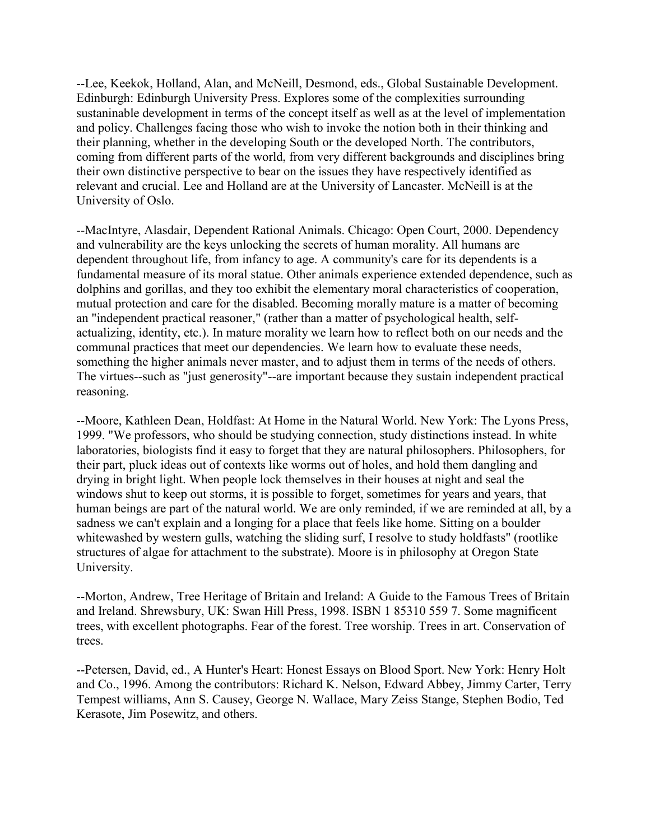--Lee, Keekok, Holland, Alan, and McNeill, Desmond, eds., Global Sustainable Development. Edinburgh: Edinburgh University Press. Explores some of the complexities surrounding sustaninable development in terms of the concept itself as well as at the level of implementation and policy. Challenges facing those who wish to invoke the notion both in their thinking and their planning, whether in the developing South or the developed North. The contributors, coming from different parts of the world, from very different backgrounds and disciplines bring their own distinctive perspective to bear on the issues they have respectively identified as relevant and crucial. Lee and Holland are at the University of Lancaster. McNeill is at the University of Oslo.

--MacIntyre, Alasdair, Dependent Rational Animals. Chicago: Open Court, 2000. Dependency and vulnerability are the keys unlocking the secrets of human morality. All humans are dependent throughout life, from infancy to age. A community's care for its dependents is a fundamental measure of its moral statue. Other animals experience extended dependence, such as dolphins and gorillas, and they too exhibit the elementary moral characteristics of cooperation, mutual protection and care for the disabled. Becoming morally mature is a matter of becoming an "independent practical reasoner," (rather than a matter of psychological health, selfactualizing, identity, etc.). In mature morality we learn how to reflect both on our needs and the communal practices that meet our dependencies. We learn how to evaluate these needs, something the higher animals never master, and to adjust them in terms of the needs of others. The virtues--such as "just generosity"--are important because they sustain independent practical reasoning.

--Moore, Kathleen Dean, Holdfast: At Home in the Natural World. New York: The Lyons Press, 1999. "We professors, who should be studying connection, study distinctions instead. In white laboratories, biologists find it easy to forget that they are natural philosophers. Philosophers, for their part, pluck ideas out of contexts like worms out of holes, and hold them dangling and drying in bright light. When people lock themselves in their houses at night and seal the windows shut to keep out storms, it is possible to forget, sometimes for years and years, that human beings are part of the natural world. We are only reminded, if we are reminded at all, by a sadness we can't explain and a longing for a place that feels like home. Sitting on a boulder whitewashed by western gulls, watching the sliding surf, I resolve to study holdfasts" (rootlike structures of algae for attachment to the substrate). Moore is in philosophy at Oregon State University.

--Morton, Andrew, Tree Heritage of Britain and Ireland: A Guide to the Famous Trees of Britain and Ireland. Shrewsbury, UK: Swan Hill Press, 1998. ISBN 1 85310 559 7. Some magnificent trees, with excellent photographs. Fear of the forest. Tree worship. Trees in art. Conservation of trees.

--Petersen, David, ed., A Hunter's Heart: Honest Essays on Blood Sport. New York: Henry Holt and Co., 1996. Among the contributors: Richard K. Nelson, Edward Abbey, Jimmy Carter, Terry Tempest williams, Ann S. Causey, George N. Wallace, Mary Zeiss Stange, Stephen Bodio, Ted Kerasote, Jim Posewitz, and others.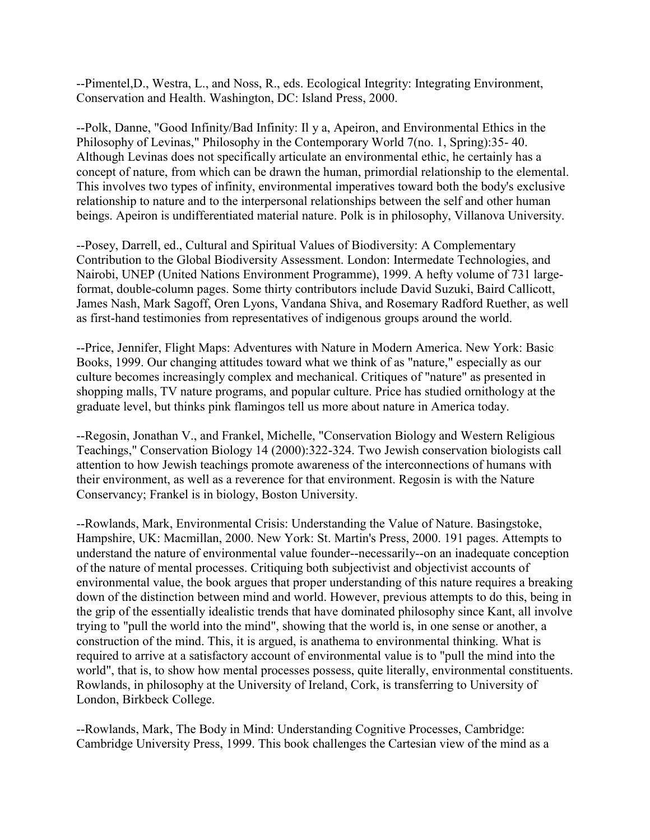--Pimentel,D., Westra, L., and Noss, R., eds. Ecological Integrity: Integrating Environment, Conservation and Health. Washington, DC: Island Press, 2000.

--Polk, Danne, "Good Infinity/Bad Infinity: Il y a, Apeiron, and Environmental Ethics in the Philosophy of Levinas," Philosophy in the Contemporary World 7(no. 1, Spring):35- 40. Although Levinas does not specifically articulate an environmental ethic, he certainly has a concept of nature, from which can be drawn the human, primordial relationship to the elemental. This involves two types of infinity, environmental imperatives toward both the body's exclusive relationship to nature and to the interpersonal relationships between the self and other human beings. Apeiron is undifferentiated material nature. Polk is in philosophy, Villanova University.

--Posey, Darrell, ed., Cultural and Spiritual Values of Biodiversity: A Complementary Contribution to the Global Biodiversity Assessment. London: Intermedate Technologies, and Nairobi, UNEP (United Nations Environment Programme), 1999. A hefty volume of 731 largeformat, double-column pages. Some thirty contributors include David Suzuki, Baird Callicott, James Nash, Mark Sagoff, Oren Lyons, Vandana Shiva, and Rosemary Radford Ruether, as well as first-hand testimonies from representatives of indigenous groups around the world.

--Price, Jennifer, Flight Maps: Adventures with Nature in Modern America. New York: Basic Books, 1999. Our changing attitudes toward what we think of as "nature," especially as our culture becomes increasingly complex and mechanical. Critiques of "nature" as presented in shopping malls, TV nature programs, and popular culture. Price has studied ornithology at the graduate level, but thinks pink flamingos tell us more about nature in America today.

--Regosin, Jonathan V., and Frankel, Michelle, "Conservation Biology and Western Religious Teachings," Conservation Biology 14 (2000):322-324. Two Jewish conservation biologists call attention to how Jewish teachings promote awareness of the interconnections of humans with their environment, as well as a reverence for that environment. Regosin is with the Nature Conservancy; Frankel is in biology, Boston University.

--Rowlands, Mark, Environmental Crisis: Understanding the Value of Nature. Basingstoke, Hampshire, UK: Macmillan, 2000. New York: St. Martin's Press, 2000. 191 pages. Attempts to understand the nature of environmental value founder--necessarily--on an inadequate conception of the nature of mental processes. Critiquing both subjectivist and objectivist accounts of environmental value, the book argues that proper understanding of this nature requires a breaking down of the distinction between mind and world. However, previous attempts to do this, being in the grip of the essentially idealistic trends that have dominated philosophy since Kant, all involve trying to "pull the world into the mind", showing that the world is, in one sense or another, a construction of the mind. This, it is argued, is anathema to environmental thinking. What is required to arrive at a satisfactory account of environmental value is to "pull the mind into the world", that is, to show how mental processes possess, quite literally, environmental constituents. Rowlands, in philosophy at the University of Ireland, Cork, is transferring to University of London, Birkbeck College.

--Rowlands, Mark, The Body in Mind: Understanding Cognitive Processes, Cambridge: Cambridge University Press, 1999. This book challenges the Cartesian view of the mind as a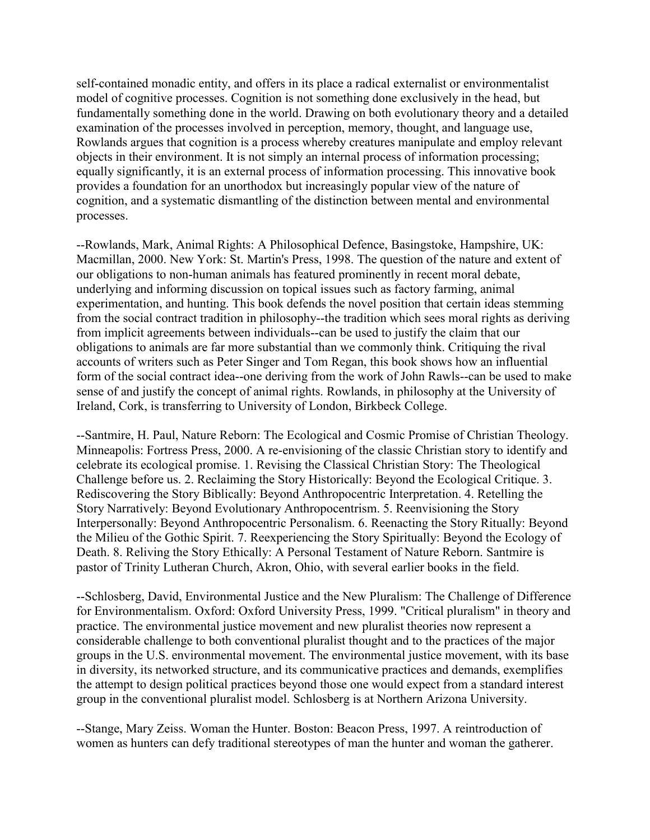self-contained monadic entity, and offers in its place a radical externalist or environmentalist model of cognitive processes. Cognition is not something done exclusively in the head, but fundamentally something done in the world. Drawing on both evolutionary theory and a detailed examination of the processes involved in perception, memory, thought, and language use, Rowlands argues that cognition is a process whereby creatures manipulate and employ relevant objects in their environment. It is not simply an internal process of information processing; equally significantly, it is an external process of information processing. This innovative book provides a foundation for an unorthodox but increasingly popular view of the nature of cognition, and a systematic dismantling of the distinction between mental and environmental processes.

--Rowlands, Mark, Animal Rights: A Philosophical Defence, Basingstoke, Hampshire, UK: Macmillan, 2000. New York: St. Martin's Press, 1998. The question of the nature and extent of our obligations to non-human animals has featured prominently in recent moral debate, underlying and informing discussion on topical issues such as factory farming, animal experimentation, and hunting. This book defends the novel position that certain ideas stemming from the social contract tradition in philosophy--the tradition which sees moral rights as deriving from implicit agreements between individuals--can be used to justify the claim that our obligations to animals are far more substantial than we commonly think. Critiquing the rival accounts of writers such as Peter Singer and Tom Regan, this book shows how an influential form of the social contract idea--one deriving from the work of John Rawls--can be used to make sense of and justify the concept of animal rights. Rowlands, in philosophy at the University of Ireland, Cork, is transferring to University of London, Birkbeck College.

--Santmire, H. Paul, Nature Reborn: The Ecological and Cosmic Promise of Christian Theology. Minneapolis: Fortress Press, 2000. A re-envisioning of the classic Christian story to identify and celebrate its ecological promise. 1. Revising the Classical Christian Story: The Theological Challenge before us. 2. Reclaiming the Story Historically: Beyond the Ecological Critique. 3. Rediscovering the Story Biblically: Beyond Anthropocentric Interpretation. 4. Retelling the Story Narratively: Beyond Evolutionary Anthropocentrism. 5. Reenvisioning the Story Interpersonally: Beyond Anthropocentric Personalism. 6. Reenacting the Story Ritually: Beyond the Milieu of the Gothic Spirit. 7. Reexperiencing the Story Spiritually: Beyond the Ecology of Death. 8. Reliving the Story Ethically: A Personal Testament of Nature Reborn. Santmire is pastor of Trinity Lutheran Church, Akron, Ohio, with several earlier books in the field.

--Schlosberg, David, Environmental Justice and the New Pluralism: The Challenge of Difference for Environmentalism. Oxford: Oxford University Press, 1999. "Critical pluralism" in theory and practice. The environmental justice movement and new pluralist theories now represent a considerable challenge to both conventional pluralist thought and to the practices of the major groups in the U.S. environmental movement. The environmental justice movement, with its base in diversity, its networked structure, and its communicative practices and demands, exemplifies the attempt to design political practices beyond those one would expect from a standard interest group in the conventional pluralist model. Schlosberg is at Northern Arizona University.

--Stange, Mary Zeiss. Woman the Hunter. Boston: Beacon Press, 1997. A reintroduction of women as hunters can defy traditional stereotypes of man the hunter and woman the gatherer.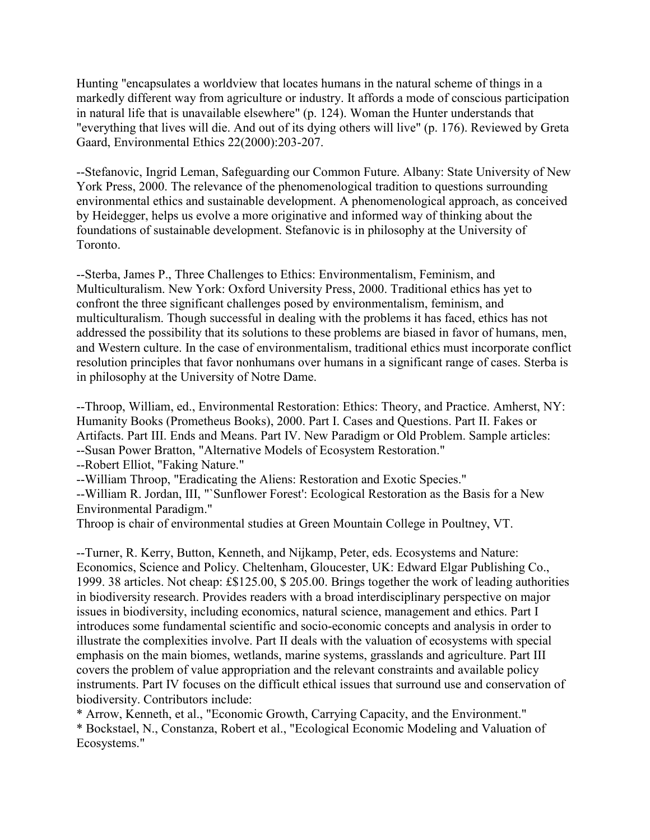Hunting "encapsulates a worldview that locates humans in the natural scheme of things in a markedly different way from agriculture or industry. It affords a mode of conscious participation in natural life that is unavailable elsewhere" (p. 124). Woman the Hunter understands that "everything that lives will die. And out of its dying others will live" (p. 176). Reviewed by Greta Gaard, Environmental Ethics 22(2000):203-207.

--Stefanovic, Ingrid Leman, Safeguarding our Common Future. Albany: State University of New York Press, 2000. The relevance of the phenomenological tradition to questions surrounding environmental ethics and sustainable development. A phenomenological approach, as conceived by Heidegger, helps us evolve a more originative and informed way of thinking about the foundations of sustainable development. Stefanovic is in philosophy at the University of Toronto.

--Sterba, James P., Three Challenges to Ethics: Environmentalism, Feminism, and Multiculturalism. New York: Oxford University Press, 2000. Traditional ethics has yet to confront the three significant challenges posed by environmentalism, feminism, and multiculturalism. Though successful in dealing with the problems it has faced, ethics has not addressed the possibility that its solutions to these problems are biased in favor of humans, men, and Western culture. In the case of environmentalism, traditional ethics must incorporate conflict resolution principles that favor nonhumans over humans in a significant range of cases. Sterba is in philosophy at the University of Notre Dame.

--Throop, William, ed., Environmental Restoration: Ethics: Theory, and Practice. Amherst, NY: Humanity Books (Prometheus Books), 2000. Part I. Cases and Questions. Part II. Fakes or Artifacts. Part III. Ends and Means. Part IV. New Paradigm or Old Problem. Sample articles: --Susan Power Bratton, "Alternative Models of Ecosystem Restoration."

--Robert Elliot, "Faking Nature."

--William Throop, "Eradicating the Aliens: Restoration and Exotic Species."

--William R. Jordan, III, "`Sunflower Forest': Ecological Restoration as the Basis for a New Environmental Paradigm."

Throop is chair of environmental studies at Green Mountain College in Poultney, VT.

--Turner, R. Kerry, Button, Kenneth, and Nijkamp, Peter, eds. Ecosystems and Nature: Economics, Science and Policy. Cheltenham, Gloucester, UK: Edward Elgar Publishing Co., 1999. 38 articles. Not cheap: £\$125.00, \$ 205.00. Brings together the work of leading authorities in biodiversity research. Provides readers with a broad interdisciplinary perspective on major issues in biodiversity, including economics, natural science, management and ethics. Part I introduces some fundamental scientific and socio-economic concepts and analysis in order to illustrate the complexities involve. Part II deals with the valuation of ecosystems with special emphasis on the main biomes, wetlands, marine systems, grasslands and agriculture. Part III covers the problem of value appropriation and the relevant constraints and available policy instruments. Part IV focuses on the difficult ethical issues that surround use and conservation of biodiversity. Contributors include:

\* Arrow, Kenneth, et al., "Economic Growth, Carrying Capacity, and the Environment."

\* Bockstael, N., Constanza, Robert et al., "Ecological Economic Modeling and Valuation of Ecosystems."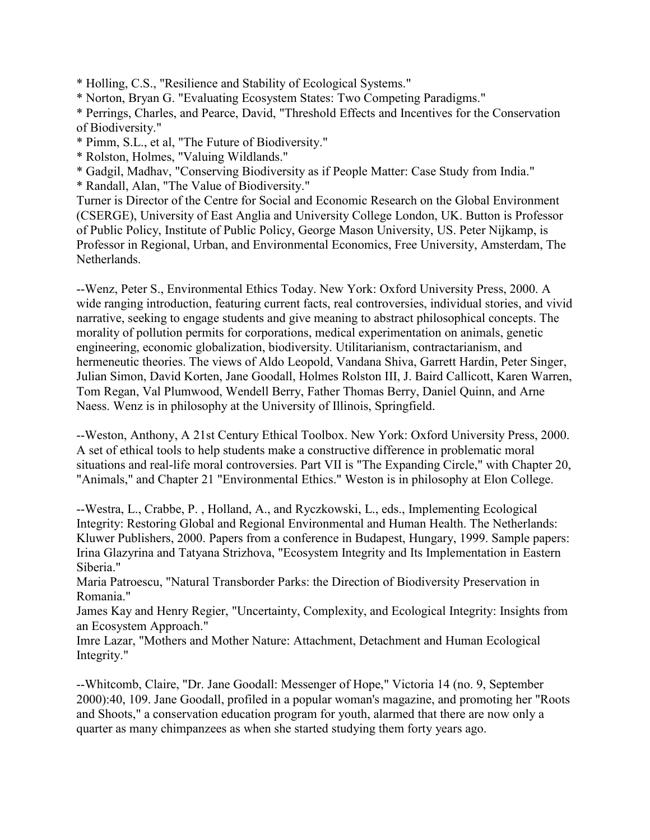\* Holling, C.S., "Resilience and Stability of Ecological Systems."

\* Norton, Bryan G. "Evaluating Ecosystem States: Two Competing Paradigms."

\* Perrings, Charles, and Pearce, David, "Threshold Effects and Incentives for the Conservation of Biodiversity."

\* Pimm, S.L., et al, "The Future of Biodiversity."

\* Rolston, Holmes, "Valuing Wildlands."

\* Gadgil, Madhav, "Conserving Biodiversity as if People Matter: Case Study from India."

\* Randall, Alan, "The Value of Biodiversity."

Turner is Director of the Centre for Social and Economic Research on the Global Environment (CSERGE), University of East Anglia and University College London, UK. Button is Professor of Public Policy, Institute of Public Policy, George Mason University, US. Peter Nijkamp, is Professor in Regional, Urban, and Environmental Economics, Free University, Amsterdam, The Netherlands.

--Wenz, Peter S., Environmental Ethics Today. New York: Oxford University Press, 2000. A wide ranging introduction, featuring current facts, real controversies, individual stories, and vivid narrative, seeking to engage students and give meaning to abstract philosophical concepts. The morality of pollution permits for corporations, medical experimentation on animals, genetic engineering, economic globalization, biodiversity. Utilitarianism, contractarianism, and hermeneutic theories. The views of Aldo Leopold, Vandana Shiva, Garrett Hardin, Peter Singer, Julian Simon, David Korten, Jane Goodall, Holmes Rolston III, J. Baird Callicott, Karen Warren, Tom Regan, Val Plumwood, Wendell Berry, Father Thomas Berry, Daniel Quinn, and Arne Naess. Wenz is in philosophy at the University of Illinois, Springfield.

--Weston, Anthony, A 21st Century Ethical Toolbox. New York: Oxford University Press, 2000. A set of ethical tools to help students make a constructive difference in problematic moral situations and real-life moral controversies. Part VII is "The Expanding Circle," with Chapter 20, "Animals," and Chapter 21 "Environmental Ethics." Weston is in philosophy at Elon College.

--Westra, L., Crabbe, P. , Holland, A., and Ryczkowski, L., eds., Implementing Ecological Integrity: Restoring Global and Regional Environmental and Human Health. The Netherlands: Kluwer Publishers, 2000. Papers from a conference in Budapest, Hungary, 1999. Sample papers: Irina Glazyrina and Tatyana Strizhova, "Ecosystem Integrity and Its Implementation in Eastern Siberia."

Maria Patroescu, "Natural Transborder Parks: the Direction of Biodiversity Preservation in Romania."

James Kay and Henry Regier, "Uncertainty, Complexity, and Ecological Integrity: Insights from an Ecosystem Approach."

Imre Lazar, "Mothers and Mother Nature: Attachment, Detachment and Human Ecological Integrity."

--Whitcomb, Claire, "Dr. Jane Goodall: Messenger of Hope," Victoria 14 (no. 9, September 2000):40, 109. Jane Goodall, profiled in a popular woman's magazine, and promoting her "Roots and Shoots," a conservation education program for youth, alarmed that there are now only a quarter as many chimpanzees as when she started studying them forty years ago.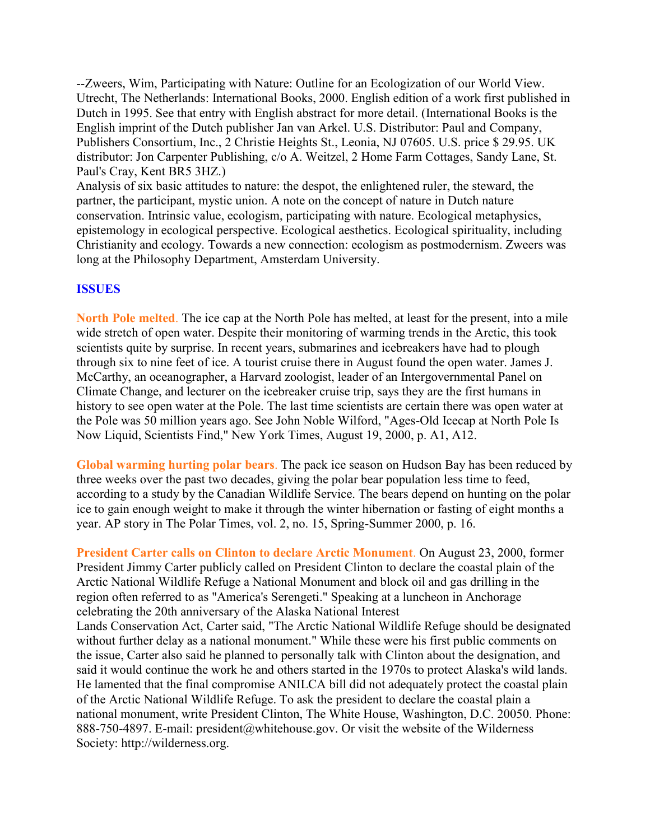--Zweers, Wim, Participating with Nature: Outline for an Ecologization of our World View. Utrecht, The Netherlands: International Books, 2000. English edition of a work first published in Dutch in 1995. See that entry with English abstract for more detail. (International Books is the English imprint of the Dutch publisher Jan van Arkel. U.S. Distributor: Paul and Company, Publishers Consortium, Inc., 2 Christie Heights St., Leonia, NJ 07605. U.S. price \$ 29.95. UK distributor: Jon Carpenter Publishing, c/o A. Weitzel, 2 Home Farm Cottages, Sandy Lane, St. Paul's Cray, Kent BR5 3HZ.)

Analysis of six basic attitudes to nature: the despot, the enlightened ruler, the steward, the partner, the participant, mystic union. A note on the concept of nature in Dutch nature conservation. Intrinsic value, ecologism, participating with nature. Ecological metaphysics, epistemology in ecological perspective. Ecological aesthetics. Ecological spirituality, including Christianity and ecology. Towards a new connection: ecologism as postmodernism. Zweers was long at the Philosophy Department, Amsterdam University.

## **ISSUES**

**North Pole melted**. The ice cap at the North Pole has melted, at least for the present, into a mile wide stretch of open water. Despite their monitoring of warming trends in the Arctic, this took scientists quite by surprise. In recent years, submarines and icebreakers have had to plough through six to nine feet of ice. A tourist cruise there in August found the open water. James J. McCarthy, an oceanographer, a Harvard zoologist, leader of an Intergovernmental Panel on Climate Change, and lecturer on the icebreaker cruise trip, says they are the first humans in history to see open water at the Pole. The last time scientists are certain there was open water at the Pole was 50 million years ago. See John Noble Wilford, "Ages-Old Icecap at North Pole Is Now Liquid, Scientists Find," New York Times, August 19, 2000, p. A1, A12.

**Global warming hurting polar bears**. The pack ice season on Hudson Bay has been reduced by three weeks over the past two decades, giving the polar bear population less time to feed, according to a study by the Canadian Wildlife Service. The bears depend on hunting on the polar ice to gain enough weight to make it through the winter hibernation or fasting of eight months a year. AP story in The Polar Times, vol. 2, no. 15, Spring-Summer 2000, p. 16.

**President Carter calls on Clinton to declare Arctic Monument**. On August 23, 2000, former President Jimmy Carter publicly called on President Clinton to declare the coastal plain of the Arctic National Wildlife Refuge a National Monument and block oil and gas drilling in the region often referred to as "America's Serengeti." Speaking at a luncheon in Anchorage celebrating the 20th anniversary of the Alaska National Interest Lands Conservation Act, Carter said, "The Arctic National Wildlife Refuge should be designated without further delay as a national monument." While these were his first public comments on the issue, Carter also said he planned to personally talk with Clinton about the designation, and said it would continue the work he and others started in the 1970s to protect Alaska's wild lands. He lamented that the final compromise ANILCA bill did not adequately protect the coastal plain of the Arctic National Wildlife Refuge. To ask the president to declare the coastal plain a national monument, write President Clinton, The White House, Washington, D.C. 20050. Phone: 888-750-4897. E-mail: president@whitehouse.gov. Or visit the website of the Wilderness Society: http://wilderness.org.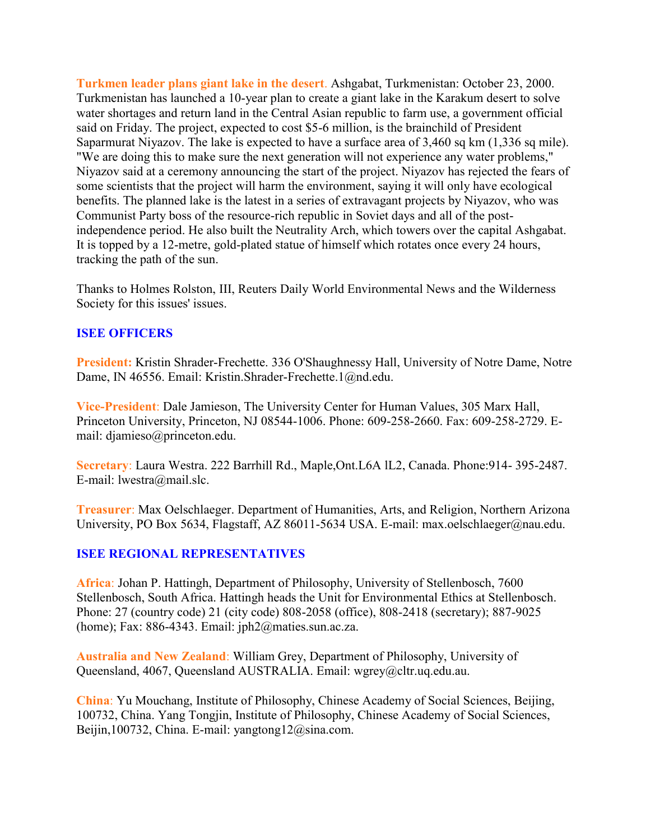**Turkmen leader plans giant lake in the desert**. Ashgabat, Turkmenistan: October 23, 2000. Turkmenistan has launched a 10-year plan to create a giant lake in the Karakum desert to solve water shortages and return land in the Central Asian republic to farm use, a government official said on Friday. The project, expected to cost \$5-6 million, is the brainchild of President Saparmurat Niyazov. The lake is expected to have a surface area of 3,460 sq km (1,336 sq mile). "We are doing this to make sure the next generation will not experience any water problems," Niyazov said at a ceremony announcing the start of the project. Niyazov has rejected the fears of some scientists that the project will harm the environment, saying it will only have ecological benefits. The planned lake is the latest in a series of extravagant projects by Niyazov, who was Communist Party boss of the resource-rich republic in Soviet days and all of the postindependence period. He also built the Neutrality Arch, which towers over the capital Ashgabat. It is topped by a 12-metre, gold-plated statue of himself which rotates once every 24 hours, tracking the path of the sun.

Thanks to Holmes Rolston, III, Reuters Daily World Environmental News and the Wilderness Society for this issues' issues.

# **ISEE OFFICERS**

**President:** Kristin Shrader-Frechette. 336 O'Shaughnessy Hall, University of Notre Dame, Notre Dame, IN 46556. Email: Kristin.Shrader-Frechette.1@nd.edu.

**Vice-President**: Dale Jamieson, The University Center for Human Values, 305 Marx Hall, Princeton University, Princeton, NJ 08544-1006. Phone: 609-258-2660. Fax: 609-258-2729. Email: djamieso@princeton.edu.

**Secretary**: Laura Westra. 222 Barrhill Rd., Maple,Ont.L6A lL2, Canada. Phone:914- 395-2487. E-mail: lwestra@mail.slc.

**Treasurer**: Max Oelschlaeger. Department of Humanities, Arts, and Religion, Northern Arizona University, PO Box 5634, Flagstaff, AZ 86011-5634 USA. E-mail: max.oelschlaeger@nau.edu.

#### **ISEE REGIONAL REPRESENTATIVES**

**Africa**: Johan P. Hattingh, Department of Philosophy, University of Stellenbosch, 7600 Stellenbosch, South Africa. Hattingh heads the Unit for Environmental Ethics at Stellenbosch. Phone: 27 (country code) 21 (city code) 808-2058 (office), 808-2418 (secretary); 887-9025 (home); Fax:  $886-4343$ . Email: jph $2@$ maties.sun.ac.za.

**Australia and New Zealand**: William Grey, Department of Philosophy, University of Queensland, 4067, Queensland AUSTRALIA. Email: wgrey@cltr.uq.edu.au.

**China**: Yu Mouchang, Institute of Philosophy, Chinese Academy of Social Sciences, Beijing, 100732, China. Yang Tongjin, Institute of Philosophy, Chinese Academy of Social Sciences, Beijin,100732, China. E-mail: yangtong12@sina.com.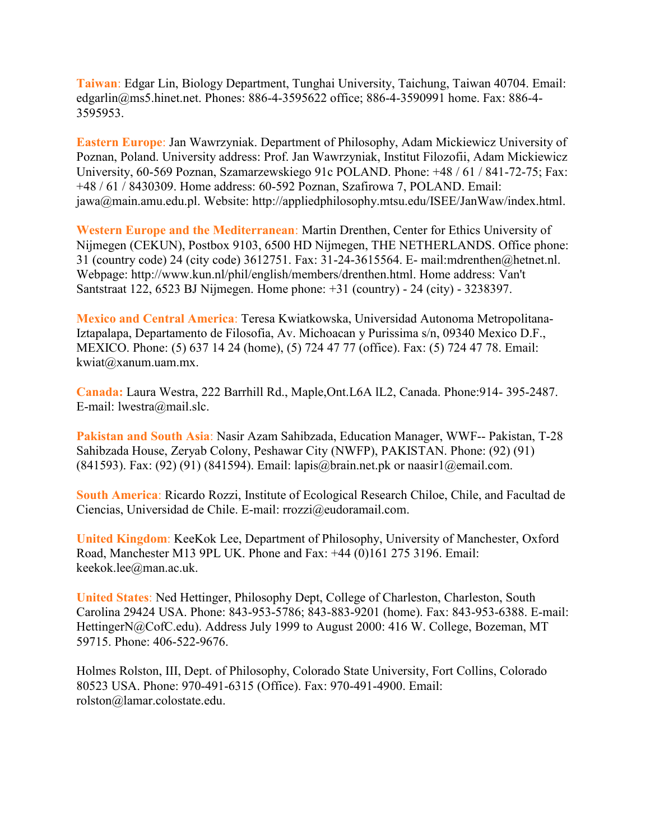**Taiwan**: Edgar Lin, Biology Department, Tunghai University, Taichung, Taiwan 40704. Email: edgarlin@ms5.hinet.net. Phones: 886-4-3595622 office; 886-4-3590991 home. Fax: 886-4- 3595953.

**Eastern Europe**: Jan Wawrzyniak. Department of Philosophy, Adam Mickiewicz University of Poznan, Poland. University address: Prof. Jan Wawrzyniak, Institut Filozofii, Adam Mickiewicz University, 60-569 Poznan, Szamarzewskiego 91c POLAND. Phone: +48 / 61 / 841-72-75; Fax: +48 / 61 / 8430309. Home address: 60-592 Poznan, Szafirowa 7, POLAND. Email: jawa@main.amu.edu.pl. Website: http://appliedphilosophy.mtsu.edu/ISEE/JanWaw/index.html.

**Western Europe and the Mediterranean**: Martin Drenthen, Center for Ethics University of Nijmegen (CEKUN), Postbox 9103, 6500 HD Nijmegen, THE NETHERLANDS. Office phone: 31 (country code) 24 (city code) 3612751. Fax: 31-24-3615564. E- mail:mdrenthen@hetnet.nl. Webpage: http://www.kun.nl/phil/english/members/drenthen.html. Home address: Van't Santstraat 122, 6523 BJ Nijmegen. Home phone: +31 (country) - 24 (city) - 3238397.

**Mexico and Central America**: Teresa Kwiatkowska, Universidad Autonoma Metropolitana-Iztapalapa, Departamento de Filosofia, Av. Michoacan y Purissima s/n, 09340 Mexico D.F., MEXICO. Phone: (5) 637 14 24 (home), (5) 724 47 77 (office). Fax: (5) 724 47 78. Email: kwiat@xanum.uam.mx.

**Canada:** Laura Westra, 222 Barrhill Rd., Maple,Ont.L6A lL2, Canada. Phone:914- 395-2487. E-mail: lwestra@mail.slc.

**Pakistan and South Asia**: Nasir Azam Sahibzada, Education Manager, WWF-- Pakistan, T-28 Sahibzada House, Zeryab Colony, Peshawar City (NWFP), PAKISTAN. Phone: (92) (91) (841593). Fax: (92) (91) (841594). Email: lapis@brain.net.pk or naasir1@email.com.

**South America**: Ricardo Rozzi, Institute of Ecological Research Chiloe, Chile, and Facultad de Ciencias, Universidad de Chile. E-mail: rrozzi@eudoramail.com.

**United Kingdom**: KeeKok Lee, Department of Philosophy, University of Manchester, Oxford Road, Manchester M13 9PL UK. Phone and Fax: +44 (0)161 275 3196. Email: keekok.lee@man.ac.uk.

**United States**: Ned Hettinger, Philosophy Dept, College of Charleston, Charleston, South Carolina 29424 USA. Phone: 843-953-5786; 843-883-9201 (home). Fax: 843-953-6388. E-mail: HettingerN@CofC.edu). Address July 1999 to August 2000: 416 W. College, Bozeman, MT 59715. Phone: 406-522-9676.

Holmes Rolston, III, Dept. of Philosophy, Colorado State University, Fort Collins, Colorado 80523 USA. Phone: 970-491-6315 (Office). Fax: 970-491-4900. Email: rolston@lamar.colostate.edu.